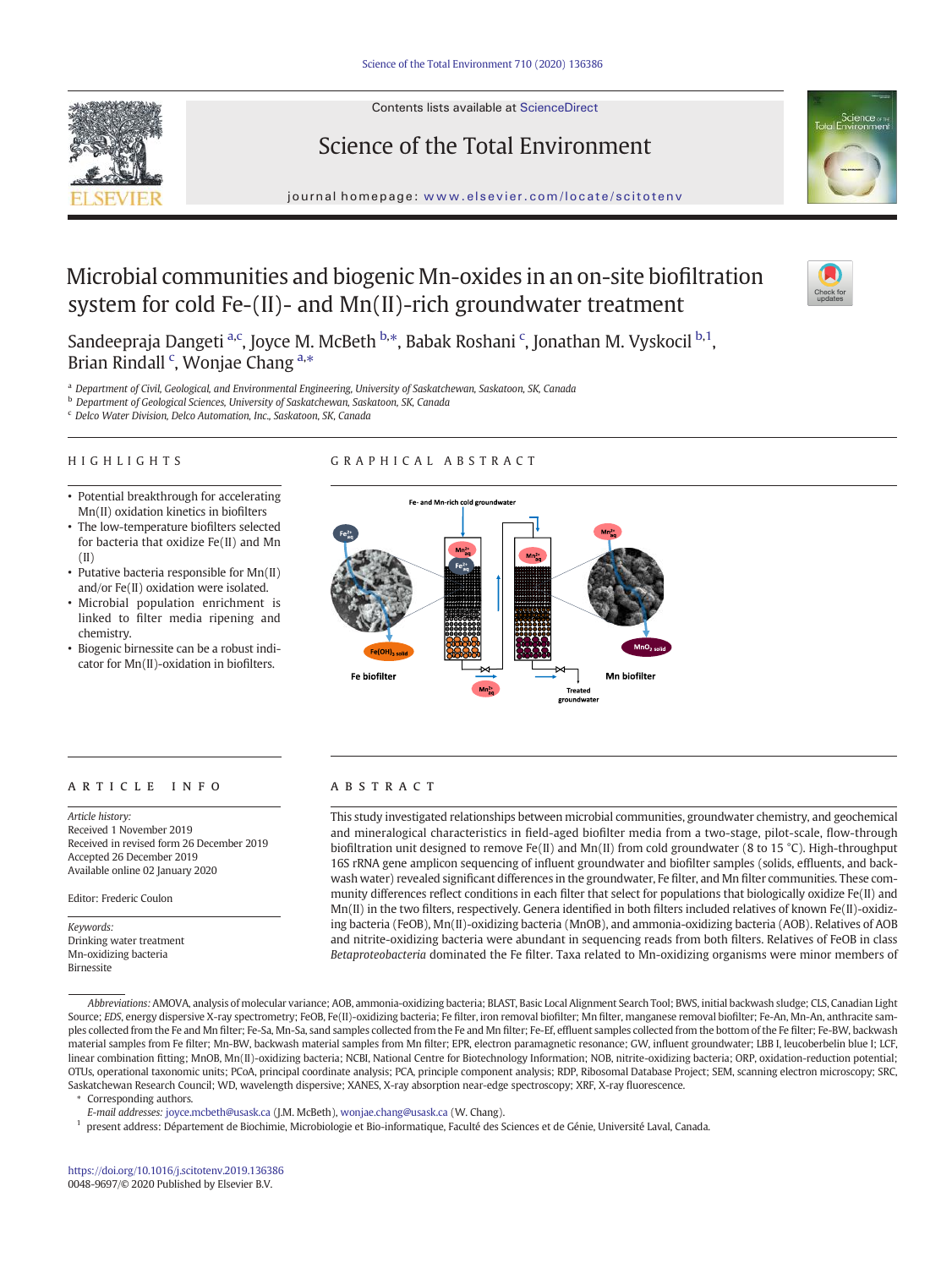Contents lists available at ScienceDirect







journal homepage: <www.elsevier.com/locate/scitotenv>

# Microbial communities and biogenic Mn-oxides in an on-site biofiltration system for cold Fe-(II)- and Mn(II)-rich groundwater treatment



Sandeepraja Dangeti <sup>a,c</sup>, Joyce M. McBeth <sup>b,</sup>\*, Babak Roshani <sup>c</sup>, Jonathan M. Vyskocil <sup>b, 1</sup>, Brian Rindall<sup>c</sup>, Wonjae Chang <sup>a,\*</sup>

a Department of Civil, Geological, and Environmental Engineering, University of Saskatchewan, Saskatoon, SK, Canada

**b** Department of Geological Sciences, University of Saskatchewan, Saskatoon, SK, Canada

<sup>c</sup> Delco Water Division, Delco Automation, Inc., Saskatoon, SK, Canada

# HIGHLIGHTS

# GRAPHICAL ABSTRACT

- Potential breakthrough for accelerating Mn(II) oxidation kinetics in biofilters
- The low-temperature biofilters selected for bacteria that oxidize Fe(II) and Mn (II)
- Putative bacteria responsible for Mn(II) and/or Fe(II) oxidation were isolated.
- Microbial population enrichment is linked to filter media ripening and chemistry.
- Biogenic birnessite can be a robust indicator for Mn(II)-oxidation in biofilters.



# article info abstract

Article history:

Received 1 November 2019 Received in revised form 26 December 2019 Accepted 26 December 2019 Available online 02 January 2020

Editor: Frederic Coulon

Keywords: Drinking water treatment Mn-oxidizing bacteria Birnessite

This study investigated relationships between microbial communities, groundwater chemistry, and geochemical and mineralogical characteristics in field-aged biofilter media from a two-stage, pilot-scale, flow-through biofiltration unit designed to remove Fe(II) and Mn(II) from cold groundwater (8 to 15 °C). High-throughput 16S rRNA gene amplicon sequencing of influent groundwater and biofilter samples (solids, effluents, and backwash water) revealed significant differences in the groundwater, Fe filter, and Mn filter communities. These community differences reflect conditions in each filter that select for populations that biologically oxidize Fe(II) and Mn(II) in the two filters, respectively. Genera identified in both filters included relatives of known Fe(II)-oxidizing bacteria (FeOB), Mn(II)-oxidizing bacteria (MnOB), and ammonia-oxidizing bacteria (AOB). Relatives of AOB and nitrite-oxidizing bacteria were abundant in sequencing reads from both filters. Relatives of FeOB in class Betaproteobacteria dominated the Fe filter. Taxa related to Mn-oxidizing organisms were minor members of

Abbreviations: AMOVA, analysis of molecular variance; AOB, ammonia-oxidizing bacteria; BLAST, Basic Local Alignment Search Tool; BWS, initial backwash sludge; CLS, Canadian Light Source; EDS, energy dispersive X-ray spectrometry; FeOB, Fe(II)-oxidizing bacteria; Fe filter, iron removal biofilter; Mn filter, manganese removal biofilter; Fe-An, Mn-An, anthracite samples collected from the Fe and Mn filter; Fe-Sa, Mn-Sa, sand samples collected from the Fe and Mn filter; Fe-Ef, effluent samples collected from the bottom of the Fe filter; Fe-BW, backwash material samples from Fe filter; Mn-BW, backwash material samples from Mn filter; EPR, electron paramagnetic resonance; GW, influent groundwater; LBB I, leucoberbelin blue I; LCF, linear combination fitting; MnOB, Mn(II)-oxidizing bacteria; NCBI, National Centre for Biotechnology Information; NOB, nitrite-oxidizing bacteria; ORP, oxidation-reduction potential; OTUs, operational taxonomic units; PCoA, principal coordinate analysis; PCA, principle component analysis; RDP, Ribosomal Database Project; SEM, scanning electron microscopy; SRC, Saskatchewan Research Council; WD, wavelength dispersive; XANES, X-ray absorption near-edge spectroscopy; XRF, X-ray fluorescence.

Corresponding authors.

E-mail addresses: [joyce.mcbeth@usask.ca](mailto:joyce.mcbeth@usask.ca) (J.M. McBeth), [wonjae.chang@usask.ca](mailto:wonjae.chang@usask.ca) (W. Chang).

<sup>1</sup> present address: Département de Biochimie, Microbiologie et Bio-informatique, Faculté des Sciences et de Génie, Université Laval, Canada.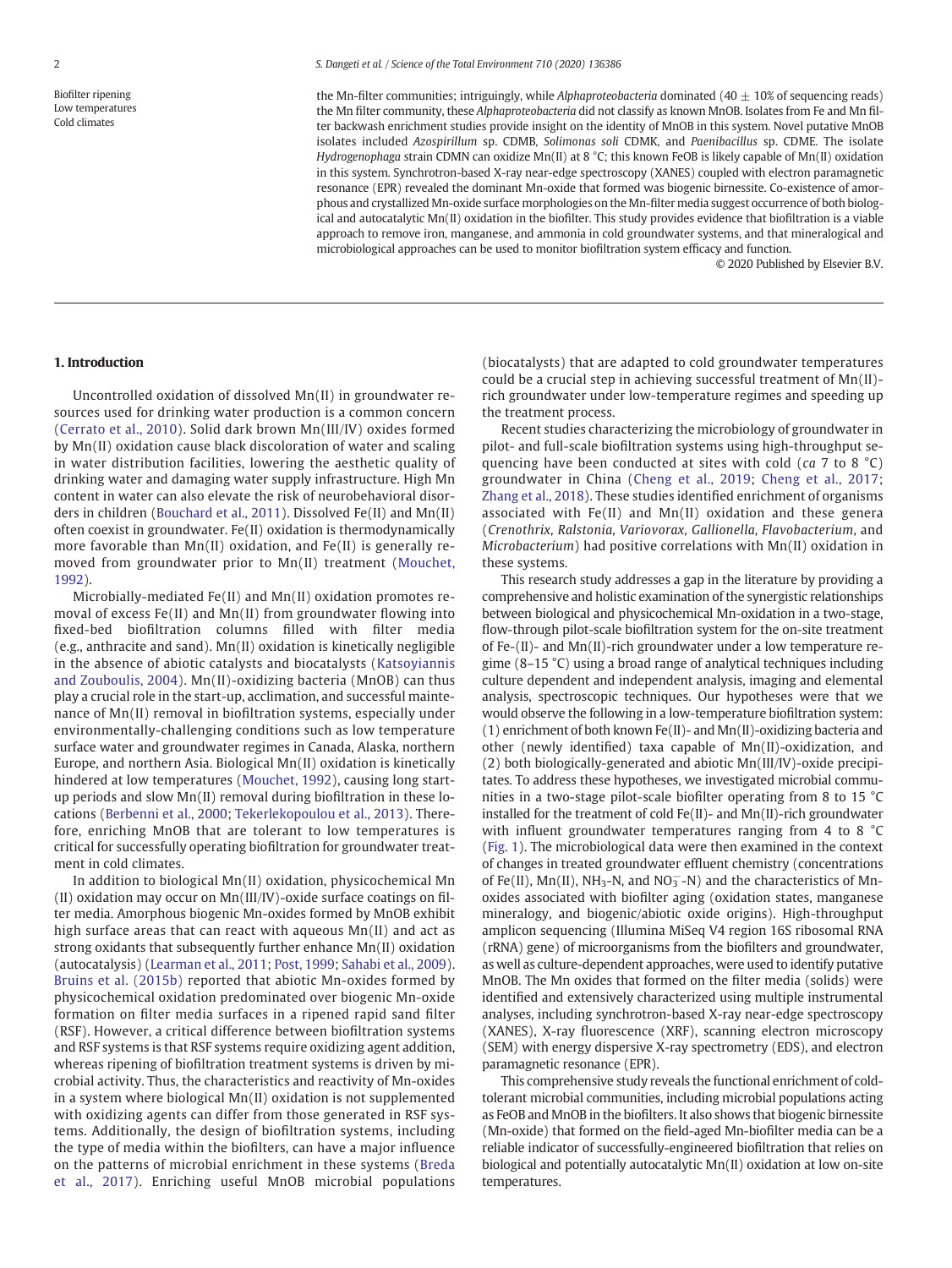Biofilter ripening Low temperatures Cold climates

the Mn-filter communities; intriguingly, while Alphaproteobacteria dominated (40  $\pm$  10% of sequencing reads) the Mn filter community, these Alphaproteobacteria did not classify as known MnOB. Isolates from Fe and Mn filter backwash enrichment studies provide insight on the identity of MnOB in this system. Novel putative MnOB isolates included Azospirillum sp. CDMB, Solimonas soli CDMK, and Paenibacillus sp. CDME. The isolate Hydrogenophaga strain CDMN can oxidize Mn(II) at 8 °C; this known FeOB is likely capable of Mn(II) oxidation in this system. Synchrotron-based X-ray near-edge spectroscopy (XANES) coupled with electron paramagnetic resonance (EPR) revealed the dominant Mn-oxide that formed was biogenic birnessite. Co-existence of amorphous and crystallized Mn-oxide surface morphologies on the Mn-filter media suggest occurrence of both biological and autocatalytic Mn(II) oxidation in the biofilter. This study provides evidence that biofiltration is a viable approach to remove iron, manganese, and ammonia in cold groundwater systems, and that mineralogical and microbiological approaches can be used to monitor biofiltration system efficacy and function.

© 2020 Published by Elsevier B.V.

# 1. Introduction

Uncontrolled oxidation of dissolved Mn(II) in groundwater resources used for drinking water production is a common concern ([Cerrato et al., 2010\)](#page-13-0). Solid dark brown Mn(III/IV) oxides formed by Mn(II) oxidation cause black discoloration of water and scaling in water distribution facilities, lowering the aesthetic quality of drinking water and damaging water supply infrastructure. High Mn content in water can also elevate the risk of neurobehavioral disorders in children ([Bouchard et al., 2011\)](#page-12-0). Dissolved Fe(II) and Mn(II) often coexist in groundwater. Fe(II) oxidation is thermodynamically more favorable than Mn(II) oxidation, and Fe(II) is generally removed from groundwater prior to Mn(II) treatment ([Mouchet,](#page-13-0) [1992](#page-13-0)).

Microbially-mediated Fe(II) and Mn(II) oxidation promotes removal of excess Fe(II) and Mn(II) from groundwater flowing into fixed-bed biofiltration columns filled with filter media (e.g., anthracite and sand). Mn(II) oxidation is kinetically negligible in the absence of abiotic catalysts and biocatalysts ([Katsoyiannis](#page-13-0) [and Zouboulis, 2004](#page-13-0)). Mn(II)-oxidizing bacteria (MnOB) can thus play a crucial role in the start-up, acclimation, and successful maintenance of Mn(II) removal in biofiltration systems, especially under environmentally-challenging conditions such as low temperature surface water and groundwater regimes in Canada, Alaska, northern Europe, and northern Asia. Biological Mn(II) oxidation is kinetically hindered at low temperatures ([Mouchet, 1992\)](#page-13-0), causing long startup periods and slow Mn(II) removal during biofiltration in these locations ([Berbenni et al., 2000](#page-12-0); [Tekerlekopoulou et al., 2013\)](#page-13-0). Therefore, enriching MnOB that are tolerant to low temperatures is critical for successfully operating biofiltration for groundwater treatment in cold climates.

In addition to biological Mn(II) oxidation, physicochemical Mn (II) oxidation may occur on Mn(III/IV)-oxide surface coatings on filter media. Amorphous biogenic Mn-oxides formed by MnOB exhibit high surface areas that can react with aqueous Mn(II) and act as strong oxidants that subsequently further enhance Mn(II) oxidation (autocatalysis) [\(Learman et al., 2011](#page-13-0); [Post, 1999](#page-13-0); [Sahabi et al., 2009](#page-13-0)). [Bruins et al. \(2015b\)](#page-13-0) reported that abiotic Mn-oxides formed by physicochemical oxidation predominated over biogenic Mn-oxide formation on filter media surfaces in a ripened rapid sand filter (RSF). However, a critical difference between biofiltration systems and RSF systems is that RSF systems require oxidizing agent addition, whereas ripening of biofiltration treatment systems is driven by microbial activity. Thus, the characteristics and reactivity of Mn-oxides in a system where biological Mn(II) oxidation is not supplemented with oxidizing agents can differ from those generated in RSF systems. Additionally, the design of biofiltration systems, including the type of media within the biofilters, can have a major influence on the patterns of microbial enrichment in these systems ([Breda](#page-12-0) [et al., 2017](#page-12-0)). Enriching useful MnOB microbial populations (biocatalysts) that are adapted to cold groundwater temperatures could be a crucial step in achieving successful treatment of Mn(II) rich groundwater under low-temperature regimes and speeding up the treatment process.

Recent studies characterizing the microbiology of groundwater in pilot- and full-scale biofiltration systems using high-throughput sequencing have been conducted at sites with cold (ca 7 to 8  $^{\circ}$ C) groundwater in China ([Cheng et al., 2019;](#page-13-0) [Cheng et al., 2017](#page-13-0); [Zhang et al., 2018\)](#page-14-0). These studies identified enrichment of organisms associated with Fe(II) and Mn(II) oxidation and these genera (Crenothrix, Ralstonia, Variovorax, Gallionella, Flavobacterium, and Microbacterium) had positive correlations with Mn(II) oxidation in these systems.

This research study addresses a gap in the literature by providing a comprehensive and holistic examination of the synergistic relationships between biological and physicochemical Mn-oxidation in a two-stage, flow-through pilot-scale biofiltration system for the on-site treatment of Fe-(II)- and Mn(II)-rich groundwater under a low temperature regime (8–15 °C) using a broad range of analytical techniques including culture dependent and independent analysis, imaging and elemental analysis, spectroscopic techniques. Our hypotheses were that we would observe the following in a low-temperature biofiltration system: (1) enrichment of both known Fe(II)- and Mn(II)-oxidizing bacteria and other (newly identified) taxa capable of Mn(II)-oxidization, and (2) both biologically-generated and abiotic Mn(III/IV)-oxide precipitates. To address these hypotheses, we investigated microbial communities in a two-stage pilot-scale biofilter operating from 8 to 15 °C installed for the treatment of cold Fe(II)- and Mn(II)-rich groundwater with influent groundwater temperatures ranging from 4 to 8 °C [\(Fig. 1\)](#page-2-0). The microbiological data were then examined in the context of changes in treated groundwater effluent chemistry (concentrations of Fe(II),  $Mn(II)$ , NH<sub>3</sub>-N, and NO<sub>3</sub>-N) and the characteristics of Mnoxides associated with biofilter aging (oxidation states, manganese mineralogy, and biogenic/abiotic oxide origins). High-throughput amplicon sequencing (Illumina MiSeq V4 region 16S ribosomal RNA (rRNA) gene) of microorganisms from the biofilters and groundwater, as well as culture-dependent approaches, were used to identify putative MnOB. The Mn oxides that formed on the filter media (solids) were identified and extensively characterized using multiple instrumental analyses, including synchrotron-based X-ray near-edge spectroscopy (XANES), X-ray fluorescence (XRF), scanning electron microscopy (SEM) with energy dispersive X-ray spectrometry (EDS), and electron paramagnetic resonance (EPR).

This comprehensive study reveals the functional enrichment of coldtolerant microbial communities, including microbial populations acting as FeOB and MnOB in the biofilters. It also shows that biogenic birnessite (Mn-oxide) that formed on the field-aged Mn-biofilter media can be a reliable indicator of successfully-engineered biofiltration that relies on biological and potentially autocatalytic Mn(II) oxidation at low on-site temperatures.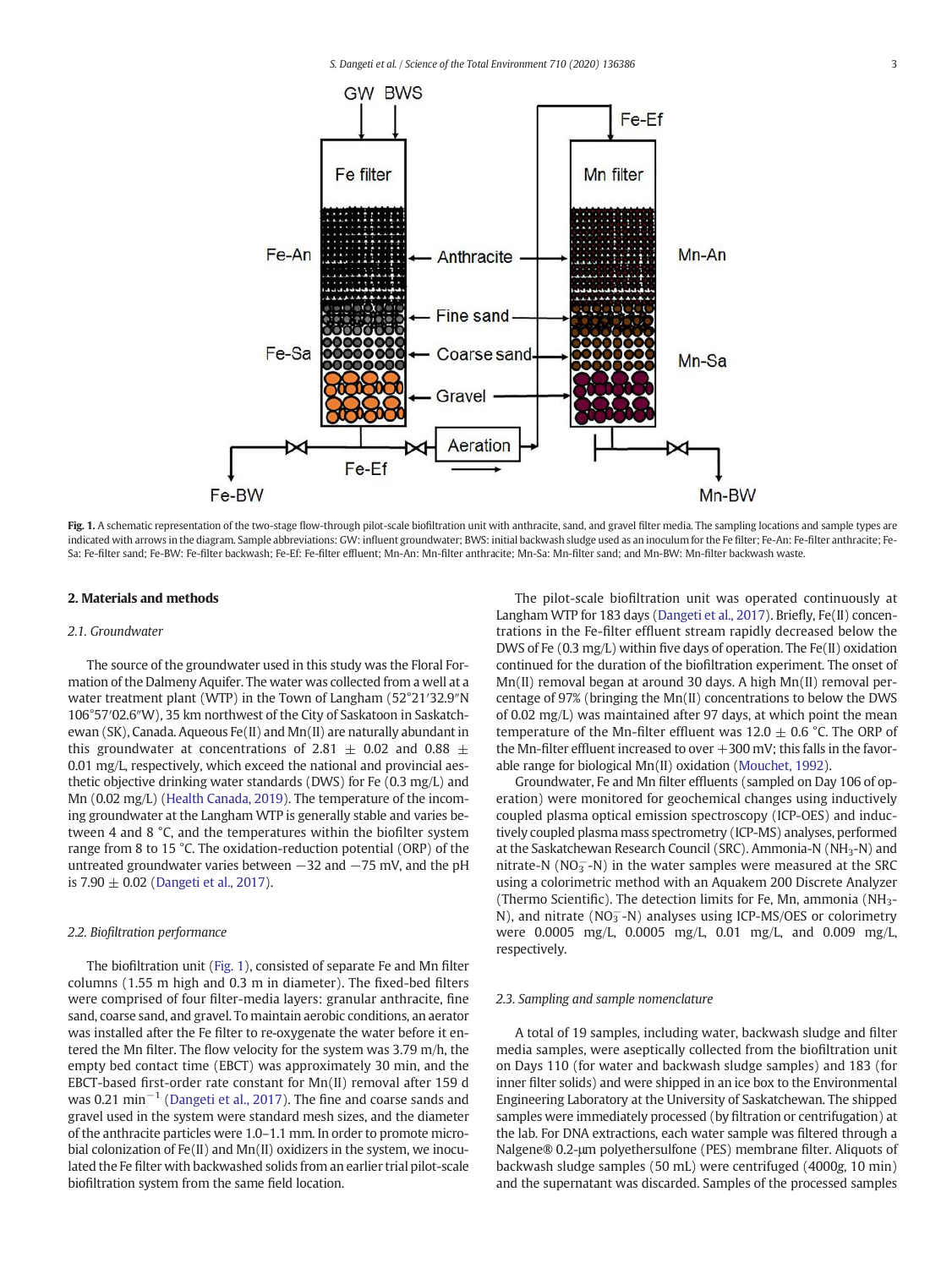<span id="page-2-0"></span>

Fig. 1. A schematic representation of the two-stage flow-through pilot-scale biofiltration unit with anthracite, sand, and gravel filter media. The sampling locations and sample types are indicated with arrows in the diagram. Sample abbreviations: GW: influent groundwater; BWS: initial backwash sludge used as an inoculum for the Fe filter; Fe-An: Fe-filter anthracite; Fe-Sa: Fe-filter sand; Fe-BW: Fe-filter backwash; Fe-Ef: Fe-filter effluent; Mn-An: Mn-filter anthracite; Mn-Sa: Mn-filter sand; and Mn-BW: Mn-filter backwash waste.

#### 2. Materials and methods

### 2.1. Groundwater

The source of the groundwater used in this study was the Floral Formation of the Dalmeny Aquifer. The water was collected from a well at a water treatment plant (WTP) in the Town of Langham (52°21′32.9″N 106°57′02.6″W), 35 km northwest of the City of Saskatoon in Saskatchewan (SK), Canada. Aqueous Fe(II) and Mn(II) are naturally abundant in this groundwater at concentrations of 2.81  $\pm$  0.02 and 0.88  $\pm$ 0.01 mg/L, respectively, which exceed the national and provincial aesthetic objective drinking water standards (DWS) for Fe (0.3 mg/L) and Mn (0.02 mg/L) [\(Health Canada, 2019](#page-13-0)). The temperature of the incoming groundwater at the Langham WTP is generally stable and varies between 4 and 8 °C, and the temperatures within the biofilter system range from 8 to 15 °C. The oxidation-reduction potential (ORP) of the untreated groundwater varies between −32 and −75 mV, and the pH is 7.90  $\pm$  0.02 ([Dangeti et al., 2017\)](#page-13-0).

# 2.2. Biofiltration performance

The biofiltration unit (Fig. 1), consisted of separate Fe and Mn filter columns (1.55 m high and 0.3 m in diameter). The fixed-bed filters were comprised of four filter-media layers: granular anthracite, fine sand, coarse sand, and gravel. To maintain aerobic conditions, an aerator was installed after the Fe filter to re‑oxygenate the water before it entered the Mn filter. The flow velocity for the system was 3.79 m/h, the empty bed contact time (EBCT) was approximately 30 min, and the EBCT-based first-order rate constant for Mn(II) removal after 159 d was 0.21 min<sup> $-1$ </sup> [\(Dangeti et al., 2017\)](#page-13-0). The fine and coarse sands and gravel used in the system were standard mesh sizes, and the diameter of the anthracite particles were 1.0–1.1 mm. In order to promote microbial colonization of Fe(II) and Mn(II) oxidizers in the system, we inoculated the Fe filter with backwashed solids from an earlier trial pilot-scale biofiltration system from the same field location.

The pilot-scale biofiltration unit was operated continuously at Langham WTP for 183 days ([Dangeti et al., 2017\)](#page-13-0). Briefly, Fe(II) concentrations in the Fe-filter effluent stream rapidly decreased below the DWS of Fe (0.3 mg/L) within five days of operation. The Fe(II) oxidation continued for the duration of the biofiltration experiment. The onset of Mn(II) removal began at around 30 days. A high Mn(II) removal percentage of 97% (bringing the Mn(II) concentrations to below the DWS of 0.02 mg/L) was maintained after 97 days, at which point the mean temperature of the Mn-filter effluent was  $12.0 + 0.6$  °C. The ORP of the Mn-filter effluent increased to over  $+300$  mV; this falls in the favorable range for biological Mn(II) oxidation [\(Mouchet, 1992](#page-13-0)).

Groundwater, Fe and Mn filter effluents (sampled on Day 106 of operation) were monitored for geochemical changes using inductively coupled plasma optical emission spectroscopy (ICP-OES) and inductively coupled plasma mass spectrometry (ICP-MS) analyses, performed at the Saskatchewan Research Council (SRC). Ammonia-N (NH3-N) and nitrate-N ( $NO<sub>3</sub>$ -N) in the water samples were measured at the SRC using a colorimetric method with an Aquakem 200 Discrete Analyzer (Thermo Scientific). The detection limits for Fe, Mn, ammonia (NH3- N), and nitrate (NO<sub>3</sub>-N) analyses using ICP-MS/OES or colorimetry were 0.0005 mg/L, 0.0005 mg/L, 0.01 mg/L, and 0.009 mg/L, respectively.

# 2.3. Sampling and sample nomenclature

A total of 19 samples, including water, backwash sludge and filter media samples, were aseptically collected from the biofiltration unit on Days 110 (for water and backwash sludge samples) and 183 (for inner filter solids) and were shipped in an ice box to the Environmental Engineering Laboratory at the University of Saskatchewan. The shipped samples were immediately processed (by filtration or centrifugation) at the lab. For DNA extractions, each water sample was filtered through a Nalgene® 0.2-μm polyethersulfone (PES) membrane filter. Aliquots of backwash sludge samples (50 mL) were centrifuged (4000g, 10 min) and the supernatant was discarded. Samples of the processed samples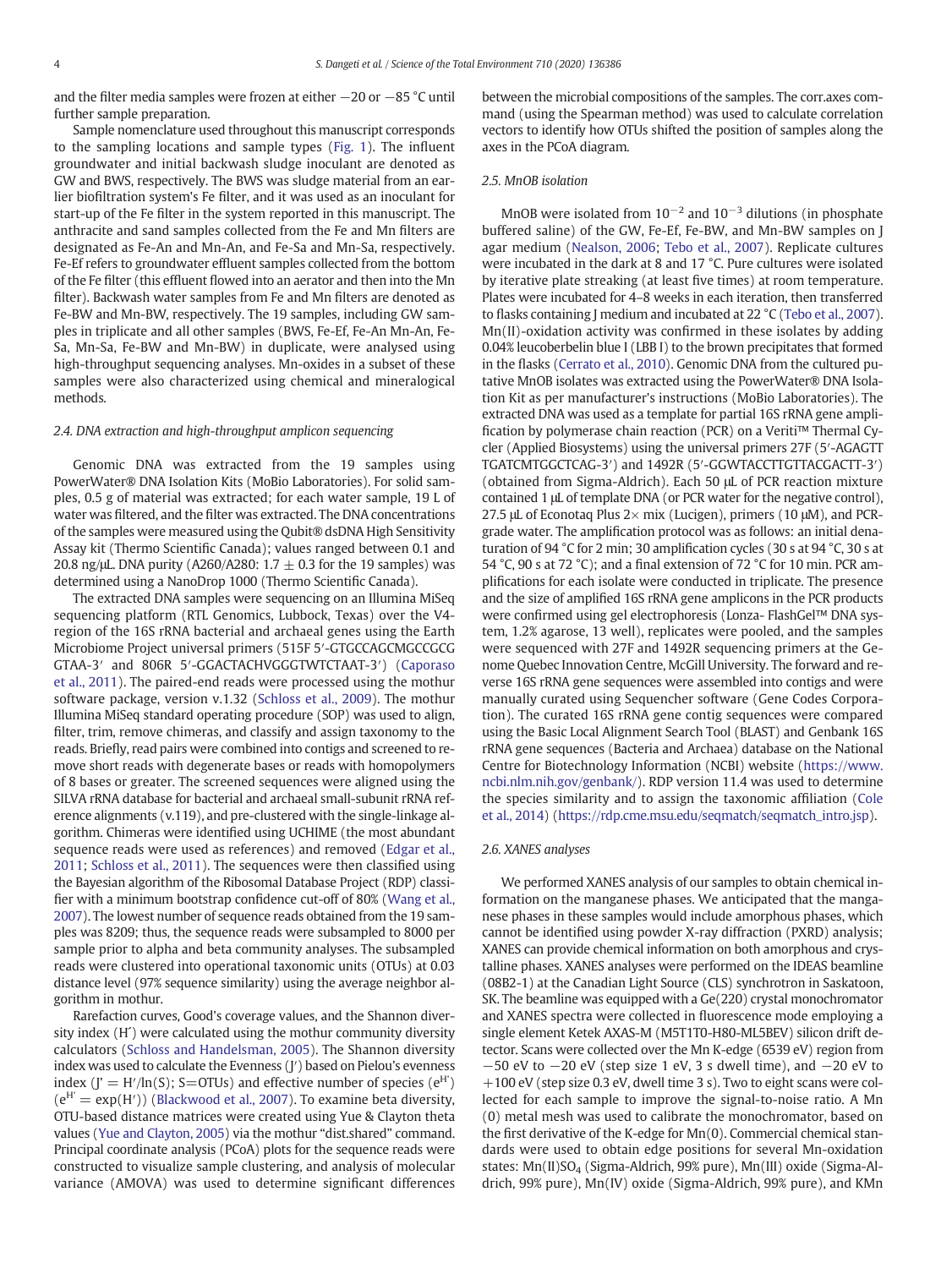and the filter media samples were frozen at either −20 or −85 °C until further sample preparation.

Sample nomenclature used throughout this manuscript corresponds to the sampling locations and sample types ([Fig. 1\)](#page-2-0). The influent groundwater and initial backwash sludge inoculant are denoted as GW and BWS, respectively. The BWS was sludge material from an earlier biofiltration system's Fe filter, and it was used as an inoculant for start-up of the Fe filter in the system reported in this manuscript. The anthracite and sand samples collected from the Fe and Mn filters are designated as Fe-An and Mn-An, and Fe-Sa and Mn-Sa, respectively. Fe-Ef refers to groundwater effluent samples collected from the bottom of the Fe filter (this effluent flowed into an aerator and then into the Mn filter). Backwash water samples from Fe and Mn filters are denoted as Fe-BW and Mn-BW, respectively. The 19 samples, including GW samples in triplicate and all other samples (BWS, Fe-Ef, Fe-An Mn-An, Fe-Sa, Mn-Sa, Fe-BW and Mn-BW) in duplicate, were analysed using high-throughput sequencing analyses. Mn-oxides in a subset of these samples were also characterized using chemical and mineralogical methods.

# 2.4. DNA extraction and high-throughput amplicon sequencing

Genomic DNA was extracted from the 19 samples using PowerWater® DNA Isolation Kits (MoBio Laboratories). For solid samples, 0.5 g of material was extracted; for each water sample, 19 L of water was filtered, and the filter was extracted. The DNA concentrations of the samples were measured using the Qubit® dsDNA High Sensitivity Assay kit (Thermo Scientific Canada); values ranged between 0.1 and 20.8 ng/μL. DNA purity (A260/A280:  $1.7 \pm 0.3$  for the 19 samples) was determined using a NanoDrop 1000 (Thermo Scientific Canada).

The extracted DNA samples were sequencing on an Illumina MiSeq sequencing platform (RTL Genomics, Lubbock, Texas) over the V4 region of the 16S rRNA bacterial and archaeal genes using the Earth Microbiome Project universal primers (515F 5′-GTGCCAGCMGCCGCG GTAA-3′ and 806R 5′-GGACTACHVGGGTWTCTAAT-3′) [\(Caporaso](#page-13-0) [et al., 2011\)](#page-13-0). The paired-end reads were processed using the mothur software package, version v.1.32 [\(Schloss et al., 2009\)](#page-13-0). The mothur Illumina MiSeq standard operating procedure (SOP) was used to align, filter, trim, remove chimeras, and classify and assign taxonomy to the reads. Briefly, read pairs were combined into contigs and screened to remove short reads with degenerate bases or reads with homopolymers of 8 bases or greater. The screened sequences were aligned using the SILVA rRNA database for bacterial and archaeal small-subunit rRNA reference alignments (v.119), and pre-clustered with the single-linkage algorithm. Chimeras were identified using UCHIME (the most abundant sequence reads were used as references) and removed ([Edgar et al.,](#page-13-0) [2011](#page-13-0); [Schloss et al., 2011](#page-13-0)). The sequences were then classified using the Bayesian algorithm of the Ribosomal Database Project (RDP) classifier with a minimum bootstrap confidence cut-off of 80% [\(Wang et al.,](#page-13-0) [2007\)](#page-13-0). The lowest number of sequence reads obtained from the 19 samples was 8209; thus, the sequence reads were subsampled to 8000 per sample prior to alpha and beta community analyses. The subsampled reads were clustered into operational taxonomic units (OTUs) at 0.03 distance level (97% sequence similarity) using the average neighbor algorithm in mothur.

Rarefaction curves, Good's coverage values, and the Shannon diversity index (H´) were calculated using the mothur community diversity calculators [\(Schloss and Handelsman, 2005\)](#page-13-0). The Shannon diversity index was used to calculate the Evenness (J′) based on Pielou's evenness index  $(J' = H'/\ln(S))$ ; S=OTUs) and effective number of species  $(e^{H'})$  $(e<sup>H</sup>)$  = exp(H')) [\(Blackwood et al., 2007](#page-12-0)). To examine beta diversity, OTU-based distance matrices were created using Yue & Clayton theta values ([Yue and Clayton, 2005](#page-14-0)) via the mothur "dist.shared" command. Principal coordinate analysis (PCoA) plots for the sequence reads were constructed to visualize sample clustering, and analysis of molecular variance (AMOVA) was used to determine significant differences between the microbial compositions of the samples. The corr.axes command (using the Spearman method) was used to calculate correlation vectors to identify how OTUs shifted the position of samples along the axes in the PCoA diagram.

# 2.5. MnOB isolation

MnOB were isolated from  $10^{-2}$  and  $10^{-3}$  dilutions (in phosphate buffered saline) of the GW, Fe-Ef, Fe-BW, and Mn-BW samples on J agar medium ([Nealson, 2006](#page-13-0); [Tebo et al., 2007](#page-13-0)). Replicate cultures were incubated in the dark at 8 and 17 °C. Pure cultures were isolated by iterative plate streaking (at least five times) at room temperature. Plates were incubated for 4–8 weeks in each iteration, then transferred to flasks containing J medium and incubated at 22 °C [\(Tebo et al., 2007\)](#page-13-0). Mn(II)-oxidation activity was confirmed in these isolates by adding 0.04% leucoberbelin blue I (LBB I) to the brown precipitates that formed in the flasks ([Cerrato et al., 2010](#page-13-0)). Genomic DNA from the cultured putative MnOB isolates was extracted using the PowerWater® DNA Isolation Kit as per manufacturer's instructions (MoBio Laboratories). The extracted DNA was used as a template for partial 16S rRNA gene amplification by polymerase chain reaction (PCR) on a Veriti™ Thermal Cycler (Applied Biosystems) using the universal primers 27F (5′-AGAGTT TGATCMTGGCTCAG-3′) and 1492R (5′-GGWTACCTTGTTACGACTT-3′) (obtained from Sigma-Aldrich). Each 50 μL of PCR reaction mixture contained 1 μL of template DNA (or PCR water for the negative control), 27.5 μL of Econotag Plus  $2\times$  mix (Lucigen), primers (10 μM), and PCRgrade water. The amplification protocol was as follows: an initial denaturation of 94 °C for 2 min; 30 amplification cycles (30 s at 94 °C, 30 s at 54 °C, 90 s at 72 °C); and a final extension of 72 °C for 10 min. PCR amplifications for each isolate were conducted in triplicate. The presence and the size of amplified 16S rRNA gene amplicons in the PCR products were confirmed using gel electrophoresis (Lonza- FlashGel™ DNA system, 1.2% agarose, 13 well), replicates were pooled, and the samples were sequenced with 27F and 1492R sequencing primers at the Genome Quebec Innovation Centre, McGill University. The forward and reverse 16S rRNA gene sequences were assembled into contigs and were manually curated using Sequencher software (Gene Codes Corporation). The curated 16S rRNA gene contig sequences were compared using the Basic Local Alignment Search Tool (BLAST) and Genbank 16S rRNA gene sequences (Bacteria and Archaea) database on the National Centre for Biotechnology Information (NCBI) website ([https://www.](https://www.ncbi.nlm.nih.gov/genbank/) [ncbi.nlm.nih.gov/genbank/\)](https://www.ncbi.nlm.nih.gov/genbank/). RDP version 11.4 was used to determine the species similarity and to assign the taxonomic affiliation ([Cole](#page-13-0) [et al., 2014](#page-13-0)) [\(https://rdp.cme.msu.edu/seqmatch/seqmatch\\_intro.jsp\)](https://rdp.cme.msu.edu/seqmatch/seqmatch_intro.jsp).

# 2.6. XANES analyses

We performed XANES analysis of our samples to obtain chemical information on the manganese phases. We anticipated that the manganese phases in these samples would include amorphous phases, which cannot be identified using powder X-ray diffraction (PXRD) analysis; XANES can provide chemical information on both amorphous and crystalline phases. XANES analyses were performed on the IDEAS beamline (08B2-1) at the Canadian Light Source (CLS) synchrotron in Saskatoon, SK. The beamline was equipped with a Ge(220) crystal monochromator and XANES spectra were collected in fluorescence mode employing a single element Ketek AXAS-M (M5T1T0-H80-ML5BEV) silicon drift detector. Scans were collected over the Mn K-edge (6539 eV) region from −50 eV to −20 eV (step size 1 eV, 3 s dwell time), and −20 eV to +100 eV (step size 0.3 eV, dwell time 3 s). Two to eight scans were collected for each sample to improve the signal-to-noise ratio. A Mn (0) metal mesh was used to calibrate the monochromator, based on the first derivative of the K-edge for Mn(0). Commercial chemical standards were used to obtain edge positions for several Mn-oxidation states: Mn(II)SO<sub>4</sub> (Sigma-Aldrich, 99% pure), Mn(III) oxide (Sigma-Aldrich, 99% pure), Mn(IV) oxide (Sigma-Aldrich, 99% pure), and KMn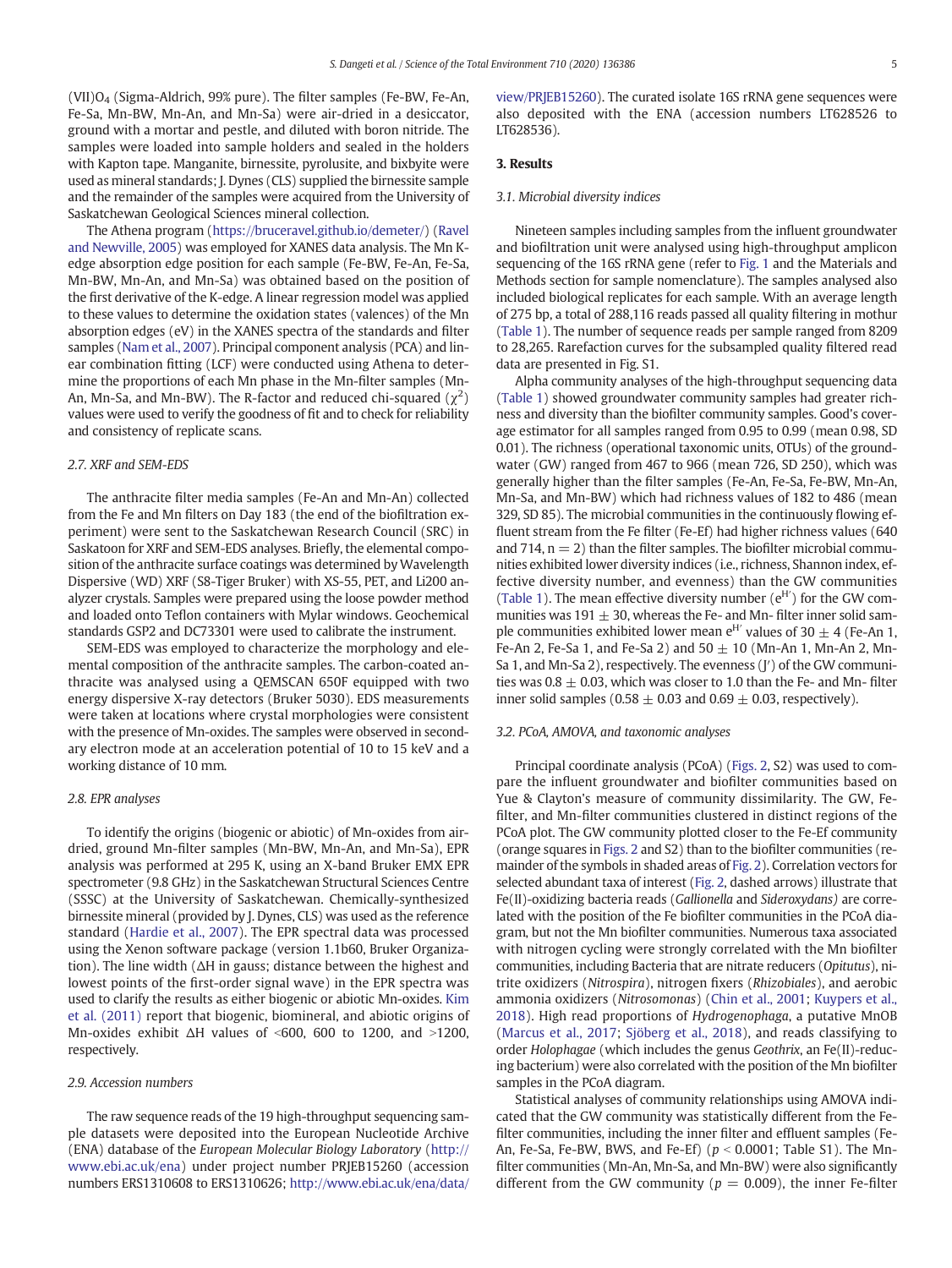(VII)O4 (Sigma-Aldrich, 99% pure). The filter samples (Fe-BW, Fe-An, Fe-Sa, Mn-BW, Mn-An, and Mn-Sa) were air-dried in a desiccator, ground with a mortar and pestle, and diluted with boron nitride. The samples were loaded into sample holders and sealed in the holders with Kapton tape. Manganite, birnessite, pyrolusite, and bixbyite were used as mineral standards; J. Dynes (CLS) supplied the birnessite sample and the remainder of the samples were acquired from the University of Saskatchewan Geological Sciences mineral collection.

The Athena program [\(https://bruceravel.github.io/demeter/](https://bruceravel.github.io/demeter/)) [\(Ravel](#page-13-0) [and Newville, 2005\)](#page-13-0) was employed for XANES data analysis. The Mn Kedge absorption edge position for each sample (Fe-BW, Fe-An, Fe-Sa, Mn-BW, Mn-An, and Mn-Sa) was obtained based on the position of the first derivative of the K-edge. A linear regression model was applied to these values to determine the oxidation states (valences) of the Mn absorption edges (eV) in the XANES spectra of the standards and filter samples [\(Nam et al., 2007](#page-13-0)). Principal component analysis (PCA) and linear combination fitting (LCF) were conducted using Athena to determine the proportions of each Mn phase in the Mn-filter samples (Mn-An, Mn-Sa, and Mn-BW). The R-factor and reduced chi-squared  $(\chi^2)$ values were used to verify the goodness of fit and to check for reliability and consistency of replicate scans.

# 2.7. XRF and SEM-EDS

The anthracite filter media samples (Fe-An and Mn-An) collected from the Fe and Mn filters on Day 183 (the end of the biofiltration experiment) were sent to the Saskatchewan Research Council (SRC) in Saskatoon for XRF and SEM-EDS analyses. Briefly, the elemental composition of the anthracite surface coatings was determined by Wavelength Dispersive (WD) XRF (S8-Tiger Bruker) with XS-55, PET, and Li200 analyzer crystals. Samples were prepared using the loose powder method and loaded onto Teflon containers with Mylar windows. Geochemical standards GSP2 and DC73301 were used to calibrate the instrument.

SEM-EDS was employed to characterize the morphology and elemental composition of the anthracite samples. The carbon-coated anthracite was analysed using a QEMSCAN 650F equipped with two energy dispersive X-ray detectors (Bruker 5030). EDS measurements were taken at locations where crystal morphologies were consistent with the presence of Mn-oxides. The samples were observed in secondary electron mode at an acceleration potential of 10 to 15 keV and a working distance of 10 mm.

# 2.8. EPR analyses

To identify the origins (biogenic or abiotic) of Mn-oxides from airdried, ground Mn-filter samples (Mn-BW, Mn-An, and Mn-Sa), EPR analysis was performed at 295 K, using an X-band Bruker EMX EPR spectrometer (9.8 GHz) in the Saskatchewan Structural Sciences Centre (SSSC) at the University of Saskatchewan. Chemically-synthesized birnessite mineral (provided by J. Dynes, CLS) was used as the reference standard [\(Hardie et al., 2007](#page-13-0)). The EPR spectral data was processed using the Xenon software package (version 1.1b60, Bruker Organization). The line width (ΔH in gauss; distance between the highest and lowest points of the first-order signal wave) in the EPR spectra was used to clarify the results as either biogenic or abiotic Mn-oxides. [Kim](#page-13-0) [et al. \(2011\)](#page-13-0) report that biogenic, biomineral, and abiotic origins of Mn-oxides exhibit  $\Delta H$  values of <600, 600 to 1200, and >1200, respectively.

# 2.9. Accession numbers

The raw sequence reads of the 19 high-throughput sequencing sample datasets were deposited into the European Nucleotide Archive (ENA) database of the European Molecular Biology Laboratory ([http://](http://www.ebi.ac.uk/ena) [www.ebi.ac.uk/ena](http://www.ebi.ac.uk/ena)) under project number PRJEB15260 (accession numbers ERS1310608 to ERS1310626; [http://www.ebi.ac.uk/ena/data/](http://www.ebi.ac.uk/ena/data/view/PRJEB15260) [view/PRJEB15260](http://www.ebi.ac.uk/ena/data/view/PRJEB15260)). The curated isolate 16S rRNA gene sequences were also deposited with the ENA (accession numbers LT628526 to LT628536).

# 3. Results

# 3.1. Microbial diversity indices

Nineteen samples including samples from the influent groundwater and biofiltration unit were analysed using high-throughput amplicon sequencing of the 16S rRNA gene (refer to [Fig. 1](#page-2-0) and the Materials and Methods section for sample nomenclature). The samples analysed also included biological replicates for each sample. With an average length of 275 bp, a total of 288,116 reads passed all quality filtering in mothur [\(Table 1](#page-5-0)). The number of sequence reads per sample ranged from 8209 to 28,265. Rarefaction curves for the subsampled quality filtered read data are presented in Fig. S1.

Alpha community analyses of the high-throughput sequencing data [\(Table 1](#page-5-0)) showed groundwater community samples had greater richness and diversity than the biofilter community samples. Good's coverage estimator for all samples ranged from 0.95 to 0.99 (mean 0.98, SD 0.01). The richness (operational taxonomic units, OTUs) of the groundwater (GW) ranged from 467 to 966 (mean 726, SD 250), which was generally higher than the filter samples (Fe-An, Fe-Sa, Fe-BW, Mn-An, Mn-Sa, and Mn-BW) which had richness values of 182 to 486 (mean 329, SD 85). The microbial communities in the continuously flowing effluent stream from the Fe filter (Fe-Ef) had higher richness values (640 and 714,  $n = 2$ ) than the filter samples. The biofilter microbial communities exhibited lower diversity indices (i.e., richness, Shannon index, effective diversity number, and evenness) than the GW communities [\(Table 1\)](#page-5-0). The mean effective diversity number  $(e^{H'})$  for the GW communities was 191  $\pm$  30, whereas the Fe- and Mn- filter inner solid sample communities exhibited lower mean e<sup>H'</sup> values of 30  $\pm$  4 (Fe-An 1, Fe-An 2, Fe-Sa 1, and Fe-Sa 2) and  $50 \pm 10$  (Mn-An 1, Mn-An 2, Mn-Sa 1, and Mn-Sa 2), respectively. The evenness (J') of the GW communities was  $0.8 \pm 0.03$ , which was closer to 1.0 than the Fe- and Mn- filter inner solid samples ( $0.58 \pm 0.03$  and  $0.69 \pm 0.03$ , respectively).

# 3.2. PCoA, AMOVA, and taxonomic analyses

Principal coordinate analysis (PCoA) [\(Figs. 2](#page-5-0), S2) was used to compare the influent groundwater and biofilter communities based on Yue & Clayton's measure of community dissimilarity. The GW, Fefilter, and Mn-filter communities clustered in distinct regions of the PCoA plot. The GW community plotted closer to the Fe-Ef community (orange squares in [Figs. 2](#page-5-0) and S2) than to the biofilter communities (remainder of the symbols in shaded areas of [Fig. 2](#page-5-0)). Correlation vectors for selected abundant taxa of interest ([Fig. 2](#page-5-0), dashed arrows) illustrate that Fe(II)-oxidizing bacteria reads (Gallionella and Sideroxydans) are correlated with the position of the Fe biofilter communities in the PCoA diagram, but not the Mn biofilter communities. Numerous taxa associated with nitrogen cycling were strongly correlated with the Mn biofilter communities, including Bacteria that are nitrate reducers (Opitutus), nitrite oxidizers (Nitrospira), nitrogen fixers (Rhizobiales), and aerobic ammonia oxidizers (Nitrosomonas) ([Chin et al., 2001;](#page-13-0) [Kuypers et al.,](#page-13-0) [2018\)](#page-13-0). High read proportions of Hydrogenophaga, a putative MnOB [\(Marcus et al., 2017](#page-13-0); [Sjöberg et al., 2018\)](#page-13-0), and reads classifying to order Holophagae (which includes the genus Geothrix, an Fe(II)-reducing bacterium) were also correlated with the position of the Mn biofilter samples in the PCoA diagram.

Statistical analyses of community relationships using AMOVA indicated that the GW community was statistically different from the Fefilter communities, including the inner filter and effluent samples (Fe-An, Fe-Sa, Fe-BW, BWS, and Fe-Ef) ( $p < 0.0001$ ; Table S1). The Mnfilter communities (Mn-An, Mn-Sa, and Mn-BW) were also significantly different from the GW community ( $p = 0.009$ ), the inner Fe-filter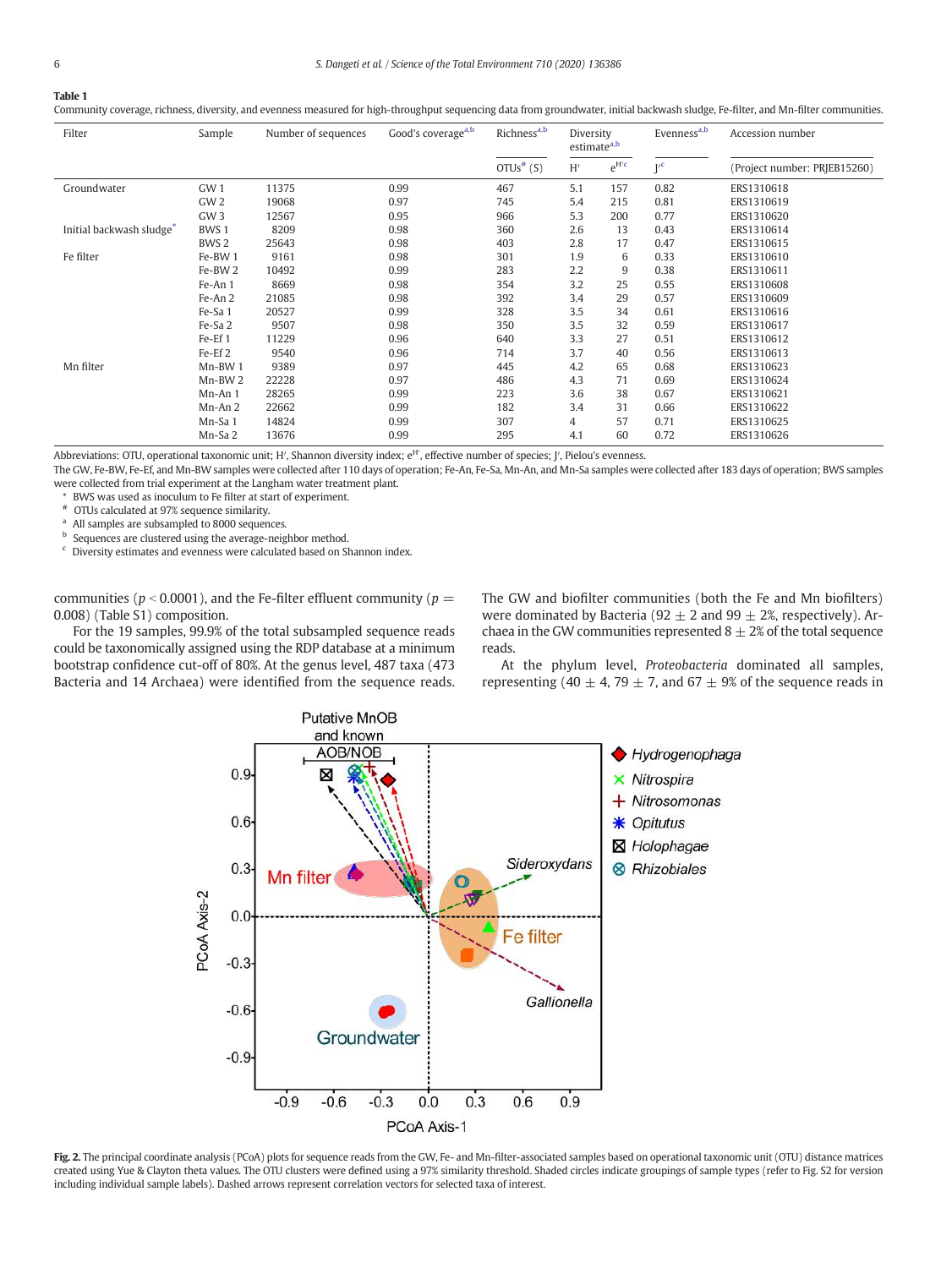# <span id="page-5-0"></span>Table 1

Community coverage, richness, diversity, and evenness measured for high-throughput sequencing data from groundwater, initial backwash sludge, Fe-filter, and Mn-filter communities.

| Filter                               | Sample             | Number of sequences | Good's coverage <sup>a,b</sup> | Richness <sup>a,b</sup> | Diversity<br>estimate <sup>a,b</sup> |           | Evenness <sup>a,b</sup> | Accession number             |  |
|--------------------------------------|--------------------|---------------------|--------------------------------|-------------------------|--------------------------------------|-----------|-------------------------|------------------------------|--|
|                                      |                    |                     |                                | $OTUs^{\#}(S)$          | H'                                   | $e^{H/c}$ | I/C                     | (Project number: PRJEB15260) |  |
| Groundwater                          | GW1                | 11375               | 0.99                           | 467                     | 5.1                                  | 157       | 0.82                    | ERS1310618                   |  |
|                                      | GW <sub>2</sub>    | 19068               | 0.97                           | 745                     | 5.4                                  | 215       | 0.81                    | ERS1310619                   |  |
|                                      | GW <sub>3</sub>    | 12567               | 0.95                           | 966                     | 5.3                                  | 200       | 0.77                    | ERS1310620                   |  |
| Initial backwash sludge <sup>®</sup> | <b>BWS1</b>        | 8209                | 0.98                           | 360                     | 2.6                                  | 13        | 0.43                    | ERS1310614                   |  |
|                                      | BWS <sub>2</sub>   | 25643               | 0.98                           | 403                     | 2.8                                  | 17        | 0.47                    | ERS1310615                   |  |
| Fe filter                            | Fe-BW 1            | 9161                | 0.98                           | 301                     | 1.9                                  | 6         | 0.33                    | ERS1310610                   |  |
|                                      | Fe-BW 2            | 10492               | 0.99                           | 283                     | 2.2                                  | 9         | 0.38                    | ERS1310611                   |  |
|                                      | Fe-An 1            | 8669                | 0.98                           | 354                     | 3.2                                  | 25        | 0.55                    | ERS1310608                   |  |
|                                      | Fe-An 2            | 21085               | 0.98                           | 392                     | 3.4                                  | 29        | 0.57                    | ERS1310609                   |  |
|                                      | Fe-Sa 1            | 20527               | 0.99                           | 328                     | 3.5                                  | 34        | 0.61                    | ERS1310616                   |  |
|                                      | Fe-Sa 2            | 9507                | 0.98                           | 350                     | 3.5                                  | 32        | 0.59                    | ERS1310617                   |  |
|                                      | Fe-Ef 1            | 11229               | 0.96                           | 640                     | 3.3                                  | 27        | 0.51                    | ERS1310612                   |  |
|                                      | Fe-Ef <sub>2</sub> | 9540                | 0.96                           | 714                     | 3.7                                  | 40        | 0.56                    | ERS1310613                   |  |
| Mn filter                            | $Mn-BW1$           | 9389                | 0.97                           | 445                     | 4.2                                  | 65        | 0.68                    | ERS1310623                   |  |
|                                      | $Mn-BW2$           | 22228               | 0.97                           | 486                     | 4.3                                  | 71        | 0.69                    | ERS1310624                   |  |
|                                      | Mn-An 1            | 28265               | 0.99                           | 223                     | 3.6                                  | 38        | 0.67                    | ERS1310621                   |  |
|                                      | Mn-An 2            | 22662               | 0.99                           | 182                     | 3.4                                  | 31        | 0.66                    | ERS1310622                   |  |
|                                      | Mn-Sa 1            | 14824               | 0.99                           | 307                     | 4                                    | 57        | 0.71                    | ERS1310625                   |  |
|                                      | Mn-Sa 2            | 13676               | 0.99                           | 295                     | 4.1                                  | 60        | 0.72                    | ERS1310626                   |  |

Abbreviations: OTU, operational taxonomic unit; H', Shannon diversity index; e<sup>H'</sup>, effective number of species; J', Pielou's evenness.

The GW, Fe-BW, Fe-Ef, and Mn-BW samples were collected after 110 days of operation; Fe-An, Fe-Sa, Mn-An, and Mn-Sa samples were collected after 183 days of operation; BWS samples were collected from trial experiment at the Langham water treatment plant.

 $*$  BWS was used as inoculum to Fe filter at start of experiment.<br> $*$  OTUs calculated at 07% sequence similarity.

OTUs calculated at 97% sequence similarity.

<sup>a</sup> All samples are subsampled to 8000 sequences.

**b** Sequences are clustered using the average-neighbor method.

<sup>c</sup> Diversity estimates and evenness were calculated based on Shannon index.

communities ( $p < 0.0001$ ), and the Fe-filter effluent community ( $p =$ 0.008) (Table S1) composition.

For the 19 samples, 99.9% of the total subsampled sequence reads could be taxonomically assigned using the RDP database at a minimum bootstrap confidence cut-off of 80%. At the genus level, 487 taxa (473 Bacteria and 14 Archaea) were identified from the sequence reads.

The GW and biofilter communities (both the Fe and Mn biofilters) were dominated by Bacteria (92  $\pm$  2 and 99  $\pm$  2%, respectively). Archaea in the GW communities represented  $8 \pm 2\%$  of the total sequence reads.

At the phylum level, Proteobacteria dominated all samples, representing (40  $\pm$  4, 79  $\pm$  7, and 67  $\pm$  9% of the sequence reads in



Fig. 2. The principal coordinate analysis (PCoA) plots for sequence reads from the GW, Fe- and Mn-filter-associated samples based on operational taxonomic unit (OTU) distance matrices created using Yue & Clayton theta values. The OTU clusters were defined using a 97% similarity threshold. Shaded circles indicate groupings of sample types (refer to Fig. S2 for version including individual sample labels). Dashed arrows represent correlation vectors for selected taxa of interest.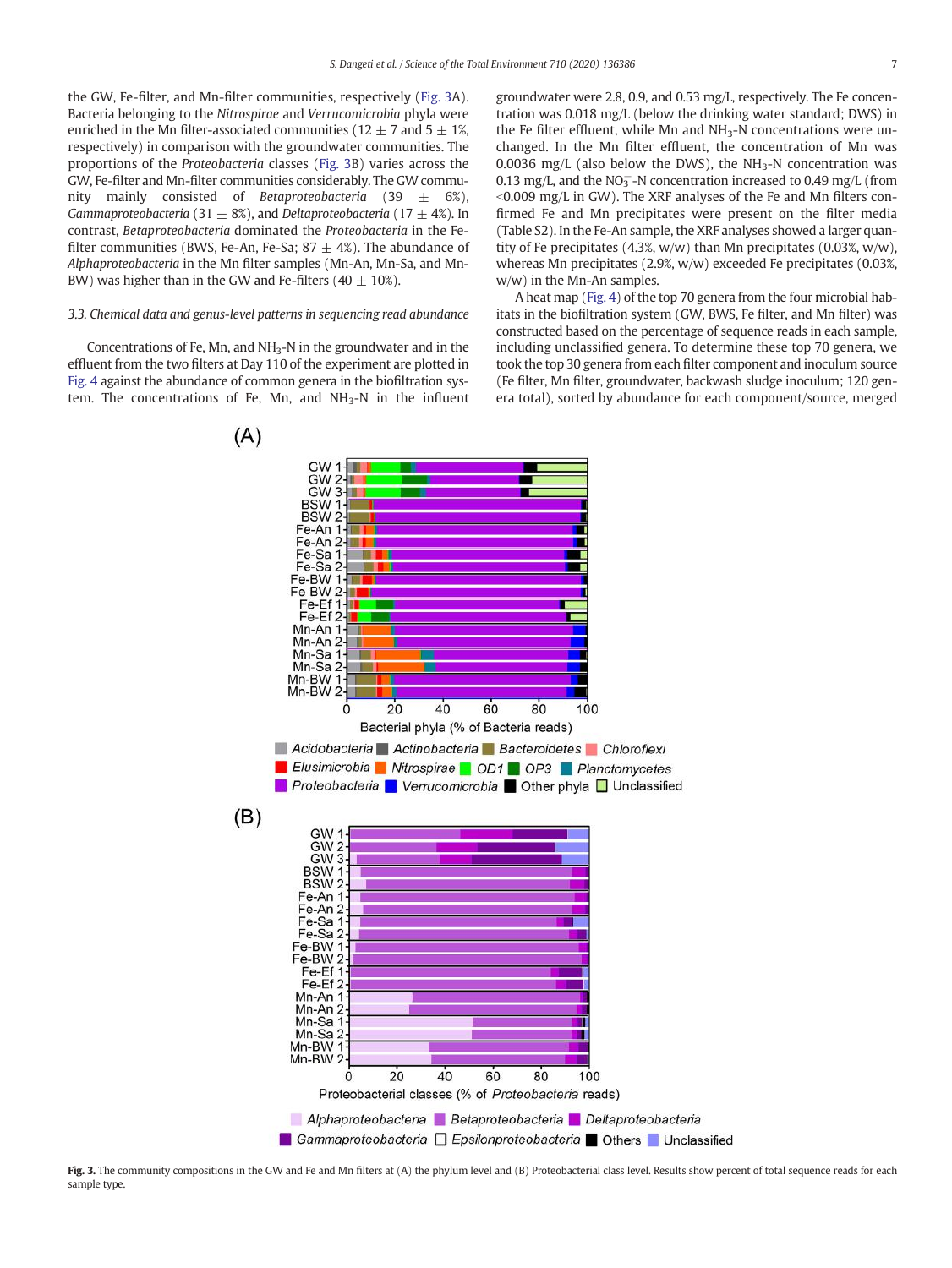<span id="page-6-0"></span>the GW, Fe-filter, and Mn-filter communities, respectively (Fig. 3A). Bacteria belonging to the Nitrospirae and Verrucomicrobia phyla were enriched in the Mn filter-associated communities ( $12 \pm 7$  and  $5 \pm 1\%$ , respectively) in comparison with the groundwater communities. The proportions of the Proteobacteria classes (Fig. 3B) varies across the GW, Fe-filter and Mn-filter communities considerably. The GW community mainly consisted of Betaproteobacteria (39  $\pm$  6%), Gammaproteobacteria (31  $\pm$  8%), and Deltaproteobacteria (17  $\pm$  4%). In contrast, Betaproteobacteria dominated the Proteobacteria in the Fefilter communities (BWS, Fe-An, Fe-Sa;  $87 \pm 4\%$ ). The abundance of Alphaproteobacteria in the Mn filter samples (Mn-An, Mn-Sa, and Mn-BW) was higher than in the GW and Fe-filters (40  $\pm$  10%).

# 3.3. Chemical data and genus-level patterns in sequencing read abundance

Concentrations of Fe, Mn, and  $NH<sub>3</sub>-N$  in the groundwater and in the effluent from the two filters at Day 110 of the experiment are plotted in [Fig. 4](#page-7-0) against the abundance of common genera in the biofiltration system. The concentrations of Fe, Mn, and  $NH<sub>3</sub>-N$  in the influent groundwater were 2.8, 0.9, and 0.53 mg/L, respectively. The Fe concentration was 0.018 mg/L (below the drinking water standard; DWS) in the Fe filter effluent, while Mn and  $NH<sub>3</sub>-N$  concentrations were unchanged. In the Mn filter effluent, the concentration of Mn was 0.0036 mg/L (also below the DWS), the NH<sub>3</sub>-N concentration was 0.13 mg/L, and the  $NO_3^-$ -N concentration increased to 0.49 mg/L (from  $\leq$ 0.009 mg/L in GW). The XRF analyses of the Fe and Mn filters confirmed Fe and Mn precipitates were present on the filter media (Table S2). In the Fe-An sample, the XRF analyses showed a larger quantity of Fe precipitates  $(4.3\%, w/w)$  than Mn precipitates  $(0.03\%, w/w)$ , whereas Mn precipitates (2.9%, w/w) exceeded Fe precipitates (0.03%, w/w) in the Mn-An samples.

A heat map [\(Fig. 4](#page-7-0)) of the top 70 genera from the four microbial habitats in the biofiltration system (GW, BWS, Fe filter, and Mn filter) was constructed based on the percentage of sequence reads in each sample, including unclassified genera. To determine these top 70 genera, we took the top 30 genera from each filter component and inoculum source (Fe filter, Mn filter, groundwater, backwash sludge inoculum; 120 genera total), sorted by abundance for each component/source, merged



Fig. 3. The community compositions in the GW and Fe and Mn filters at (A) the phylum level and (B) Proteobacterial class level. Results show percent of total sequence reads for each sample type.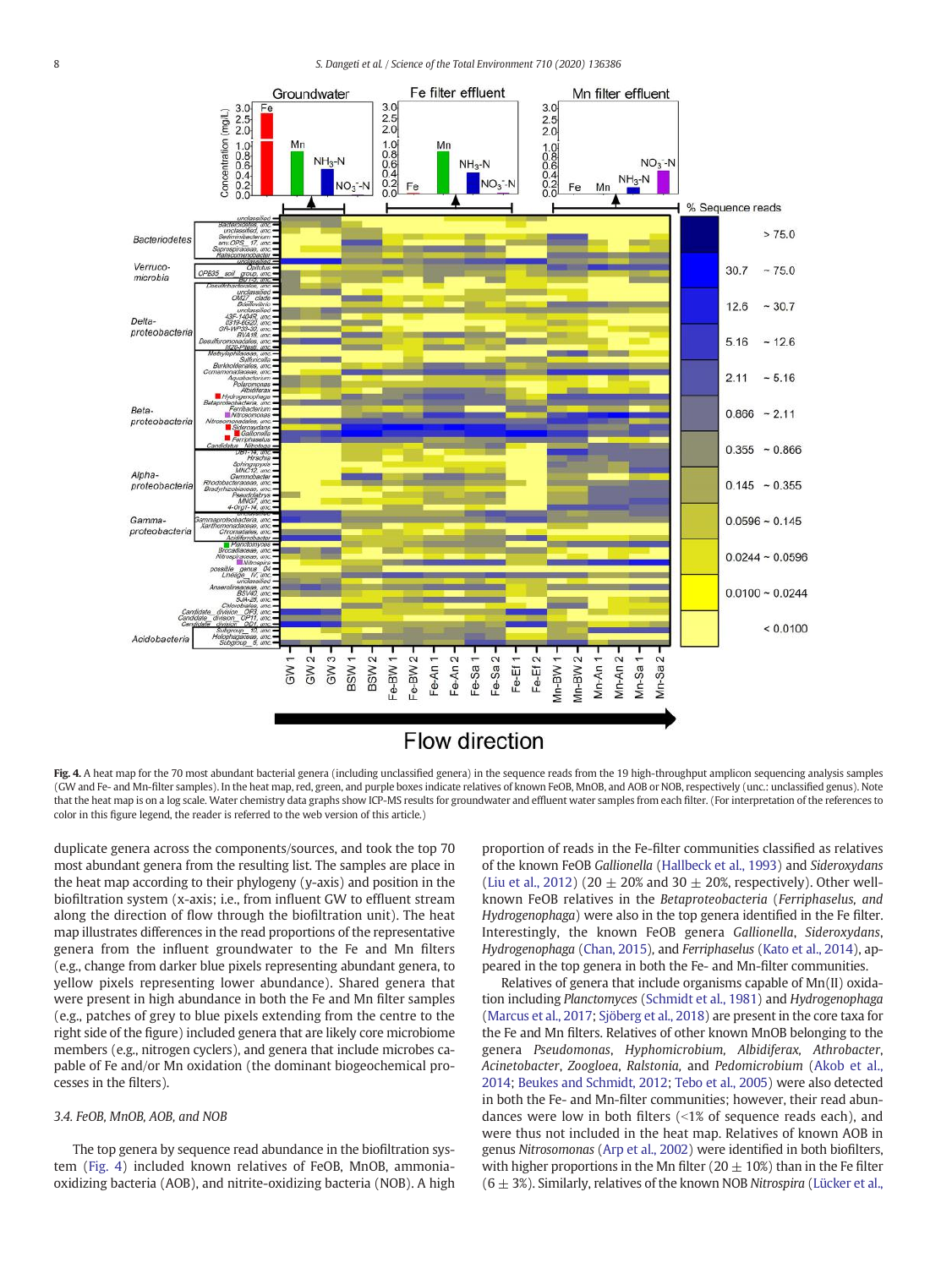<span id="page-7-0"></span>

Fig. 4. A heat map for the 70 most abundant bacterial genera (including unclassified genera) in the sequence reads from the 19 high-throughput amplicon sequencing analysis samples (GW and Fe- and Mn-filter samples). In the heat map, red, green, and purple boxes indicate relatives of known FeOB, MnOB, and AOB or NOB, respectively (unc.: unclassified genus). Note that the heat map is on a log scale. Water chemistry data graphs show ICP-MS results for groundwater and effluent water samples from each filter. (For interpretation of the references to color in this figure legend, the reader is referred to the web version of this article.)

duplicate genera across the components/sources, and took the top 70 most abundant genera from the resulting list. The samples are place in the heat map according to their phylogeny (y-axis) and position in the biofiltration system (x-axis; i.e., from influent GW to effluent stream along the direction of flow through the biofiltration unit). The heat map illustrates differences in the read proportions of the representative genera from the influent groundwater to the Fe and Mn filters (e.g., change from darker blue pixels representing abundant genera, to yellow pixels representing lower abundance). Shared genera that were present in high abundance in both the Fe and Mn filter samples (e.g., patches of grey to blue pixels extending from the centre to the right side of the figure) included genera that are likely core microbiome members (e.g., nitrogen cyclers), and genera that include microbes capable of Fe and/or Mn oxidation (the dominant biogeochemical processes in the filters).

# 3.4. FeOB, MnOB, AOB, and NOB

The top genera by sequence read abundance in the biofiltration system (Fig. 4) included known relatives of FeOB, MnOB, ammoniaoxidizing bacteria (AOB), and nitrite-oxidizing bacteria (NOB). A high proportion of reads in the Fe-filter communities classified as relatives of the known FeOB Gallionella [\(Hallbeck et al., 1993](#page-13-0)) and Sideroxydans [\(Liu et al., 2012](#page-13-0)) (20  $\pm$  20% and 30  $\pm$  20%, respectively). Other wellknown FeOB relatives in the Betaproteobacteria (Ferriphaselus, and Hydrogenophaga) were also in the top genera identified in the Fe filter. Interestingly, the known FeOB genera Gallionella, Sideroxydans, Hydrogenophaga [\(Chan, 2015\)](#page-13-0), and Ferriphaselus [\(Kato et al., 2014\)](#page-13-0), appeared in the top genera in both the Fe- and Mn-filter communities.

Relatives of genera that include organisms capable of Mn(II) oxidation including Planctomyces [\(Schmidt et al., 1981\)](#page-13-0) and Hydrogenophaga [\(Marcus et al., 2017;](#page-13-0) [Sjöberg et al., 2018\)](#page-13-0) are present in the core taxa for the Fe and Mn filters. Relatives of other known MnOB belonging to the genera Pseudomonas, Hyphomicrobium, Albidiferax, Athrobacter, Acinetobacter, Zoogloea, Ralstonia, and Pedomicrobium ([Akob et al.,](#page-12-0) [2014;](#page-12-0) [Beukes and Schmidt, 2012;](#page-12-0) [Tebo et al., 2005](#page-13-0)) were also detected in both the Fe- and Mn-filter communities; however, their read abundances were low in both filters  $\left($  <1% of sequence reads each), and were thus not included in the heat map. Relatives of known AOB in genus Nitrosomonas [\(Arp et al., 2002\)](#page-12-0) were identified in both biofilters, with higher proportions in the Mn filter (20  $\pm$  10%) than in the Fe filter  $(6 \pm 3)$ . Similarly, relatives of the known NOB Nitrospira [\(Lücker et al.,](#page-13-0)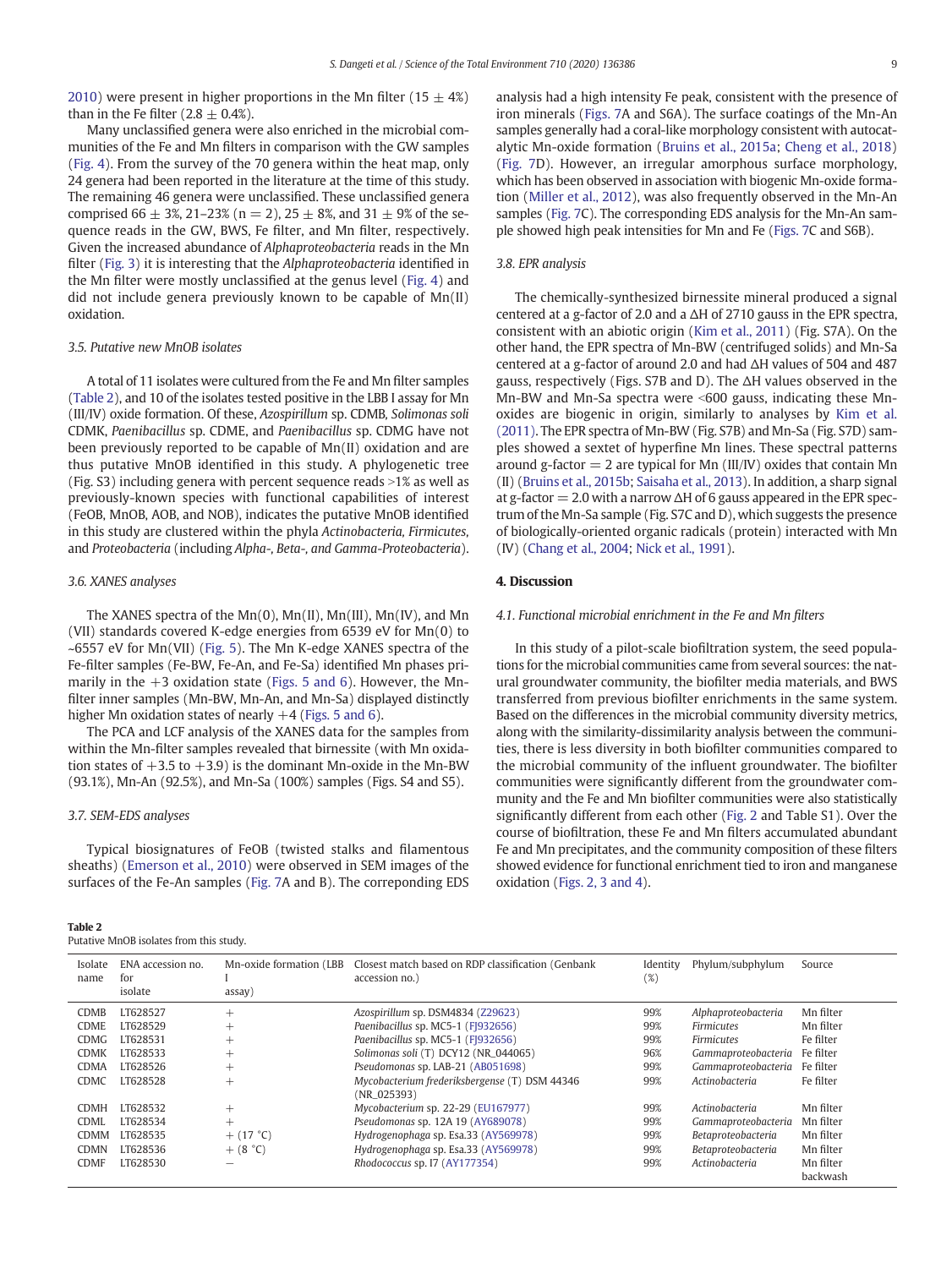[2010\)](#page-13-0) were present in higher proportions in the Mn filter (15  $\pm$  4%) than in the Fe filter  $(2.8 \pm 0.4\%)$ .

Many unclassified genera were also enriched in the microbial communities of the Fe and Mn filters in comparison with the GW samples [\(Fig. 4\)](#page-7-0). From the survey of the 70 genera within the heat map, only 24 genera had been reported in the literature at the time of this study. The remaining 46 genera were unclassified. These unclassified genera comprised 66  $\pm$  3%, 21–23% (n = 2), 25  $\pm$  8%, and 31  $\pm$  9% of the sequence reads in the GW, BWS, Fe filter, and Mn filter, respectively. Given the increased abundance of Alphaproteobacteria reads in the Mn filter ([Fig. 3\)](#page-6-0) it is interesting that the Alphaproteobacteria identified in the Mn filter were mostly unclassified at the genus level ([Fig. 4](#page-7-0)) and did not include genera previously known to be capable of Mn(II) oxidation.

# 3.5. Putative new MnOB isolates

A total of 11 isolates were cultured from the Fe and Mn filter samples (Table 2), and 10 of the isolates tested positive in the LBB I assay for Mn (III/IV) oxide formation. Of these, Azospirillum sp. CDMB, Solimonas soli CDMK, Paenibacillus sp. CDME, and Paenibacillus sp. CDMG have not been previously reported to be capable of Mn(II) oxidation and are thus putative MnOB identified in this study. A phylogenetic tree (Fig.  $S3$ ) including genera with percent sequence reads  $>1\%$  as well as previously-known species with functional capabilities of interest (FeOB, MnOB, AOB, and NOB), indicates the putative MnOB identified in this study are clustered within the phyla Actinobacteria, Firmicutes, and Proteobacteria (including Alpha-, Beta-, and Gamma-Proteobacteria).

# 3.6. XANES analyses

The XANES spectra of the Mn(0), Mn(II), Mn(III), Mn(IV), and Mn (VII) standards covered K-edge energies from 6539 eV for Mn(0) to ~6557 eV for Mn(VII) [\(Fig. 5](#page-9-0)). The Mn K-edge XANES spectra of the Fe-filter samples (Fe-BW, Fe-An, and Fe-Sa) identified Mn phases primarily in the  $+3$  oxidation state [\(Figs. 5 and 6](#page-9-0)). However, the Mnfilter inner samples (Mn-BW, Mn-An, and Mn-Sa) displayed distinctly higher Mn oxidation states of nearly  $+4$  [\(Figs. 5 and 6\)](#page-9-0).

The PCA and LCF analysis of the XANES data for the samples from within the Mn-filter samples revealed that birnessite (with Mn oxidation states of  $+3.5$  to  $+3.9$ ) is the dominant Mn-oxide in the Mn-BW (93.1%), Mn-An (92.5%), and Mn-Sa (100%) samples (Figs. S4 and S5).

# 3.7. SEM-EDS analyses

Typical biosignatures of FeOB (twisted stalks and filamentous sheaths) ([Emerson et al., 2010](#page-13-0)) were observed in SEM images of the surfaces of the Fe-An samples [\(Fig. 7](#page-10-0)A and B). The correponding EDS

Putative MnOB isolates from this study.

analysis had a high intensity Fe peak, consistent with the presence of iron minerals ([Figs. 7](#page-10-0)A and S6A). The surface coatings of the Mn-An samples generally had a coral-like morphology consistent with autocatalytic Mn-oxide formation [\(Bruins et al., 2015a;](#page-12-0) [Cheng et al., 2018](#page-13-0)) [\(Fig. 7](#page-10-0)D). However, an irregular amorphous surface morphology, which has been observed in association with biogenic Mn-oxide formation ([Miller et al., 2012](#page-13-0)), was also frequently observed in the Mn-An samples [\(Fig. 7C](#page-10-0)). The corresponding EDS analysis for the Mn-An sample showed high peak intensities for Mn and Fe [\(Figs. 7](#page-10-0)C and S6B).

# 3.8. EPR analysis

The chemically-synthesized birnessite mineral produced a signal centered at a g-factor of 2.0 and a ΔH of 2710 gauss in the EPR spectra, consistent with an abiotic origin [\(Kim et al., 2011](#page-13-0)) (Fig. S7A). On the other hand, the EPR spectra of Mn-BW (centrifuged solids) and Mn-Sa centered at a g-factor of around 2.0 and had ΔH values of 504 and 487 gauss, respectively (Figs. S7B and D). The ΔH values observed in the Mn-BW and Mn-Sa spectra were  $\leq 600$  gauss, indicating these Mnoxides are biogenic in origin, similarly to analyses by [Kim et al.](#page-13-0) [\(2011\)](#page-13-0). The EPR spectra of Mn-BW (Fig. S7B) and Mn-Sa (Fig. S7D) samples showed a sextet of hyperfine Mn lines. These spectral patterns around g-factor  $= 2$  are typical for Mn (III/IV) oxides that contain Mn (II) [\(Bruins et al., 2015b](#page-13-0); [Saisaha et al., 2013\)](#page-13-0). In addition, a sharp signal at g-factor  $= 2.0$  with a narrow  $\Delta H$  of 6 gauss appeared in the EPR spectrum of the Mn-Sa sample (Fig. S7C and D), which suggests the presence of biologically-oriented organic radicals (protein) interacted with Mn (IV) [\(Chang et al., 2004](#page-13-0); [Nick et al., 1991\)](#page-13-0).

# 4. Discussion

#### 4.1. Functional microbial enrichment in the Fe and Mn filters

In this study of a pilot-scale biofiltration system, the seed populations for the microbial communities came from several sources: the natural groundwater community, the biofilter media materials, and BWS transferred from previous biofilter enrichments in the same system. Based on the differences in the microbial community diversity metrics, along with the similarity-dissimilarity analysis between the communities, there is less diversity in both biofilter communities compared to the microbial community of the influent groundwater. The biofilter communities were significantly different from the groundwater community and the Fe and Mn biofilter communities were also statistically significantly different from each other ([Fig. 2](#page-5-0) and Table S1). Over the course of biofiltration, these Fe and Mn filters accumulated abundant Fe and Mn precipitates, and the community composition of these filters showed evidence for functional enrichment tied to iron and manganese oxidation ([Figs. 2, 3 and 4](#page-5-0)).

| Isolate<br>name | ENA accession no.<br>for<br>isolate | assay)      | Mn-oxide formation (LBB Closest match based on RDP classification (Genbank<br>accession no.) | Identity<br>(%) | Phylum/subphylum    | Source    |
|-----------------|-------------------------------------|-------------|----------------------------------------------------------------------------------------------|-----------------|---------------------|-----------|
| <b>CDMB</b>     | LT628527                            | $^+$        | Azospirillum sp. DSM4834 (Z29623)                                                            | 99%             | Alphaproteobacteria | Mn filter |
| <b>CDME</b>     | LT628529                            | $^{+}$      | Paenibacillus sp. MC5-1 (FJ932656)                                                           | 99%             | <b>Firmicutes</b>   | Mn filter |
| <b>CDMG</b>     | LT628531                            | $^{+}$      | Paenibacillus sp. MC5-1 (FJ932656)                                                           | 99%             | <b>Firmicutes</b>   | Fe filter |
| <b>CDMK</b>     | LT628533                            | $^{+}$      | Solimonas soli (T) DCY12 (NR_044065)                                                         | 96%             | Gammaproteobacteria | Fe filter |
| <b>CDMA</b>     | LT628526                            | $^{+}$      | Pseudomonas sp. LAB-21 (AB051698)                                                            | 99%             | Gammaproteobacteria | Fe filter |
| <b>CDMC</b>     | LT628528                            | $^{+}$      | Mycobacterium frederiksbergense (T) DSM 44346<br>(NR 025393)                                 | 99%             | Actinobacteria      | Fe filter |
| <b>CDMH</b>     | LT628532                            | $^{+}$      | Mycobacterium sp. 22-29 (EU167977)                                                           | 99%             | Actinobacteria      | Mn filter |
| CDML            | LT628534                            | $^{+}$      | Pseudomonas sp. 12A 19 (AY689078)                                                            | 99%             | Gammaproteobacteria | Mn filter |
| CDMM            | LT628535                            | $+$ (17 °C) | Hydrogenophaga sp. Esa.33 (AY569978)                                                         | 99%             | Betaproteobacteria  | Mn filter |
| <b>CDMN</b>     | LT628536                            | $+ (8 °C)$  | Hydrogenophaga sp. Esa.33 (AY569978)                                                         | 99%             | Betaproteobacteria  | Mn filter |
| <b>CDMF</b>     | LT628530                            | -           | Rhodococcus sp. I7 (AY177354)                                                                | 99%             | Actinobacteria      | Mn filter |
|                 |                                     |             |                                                                                              |                 |                     | backwash  |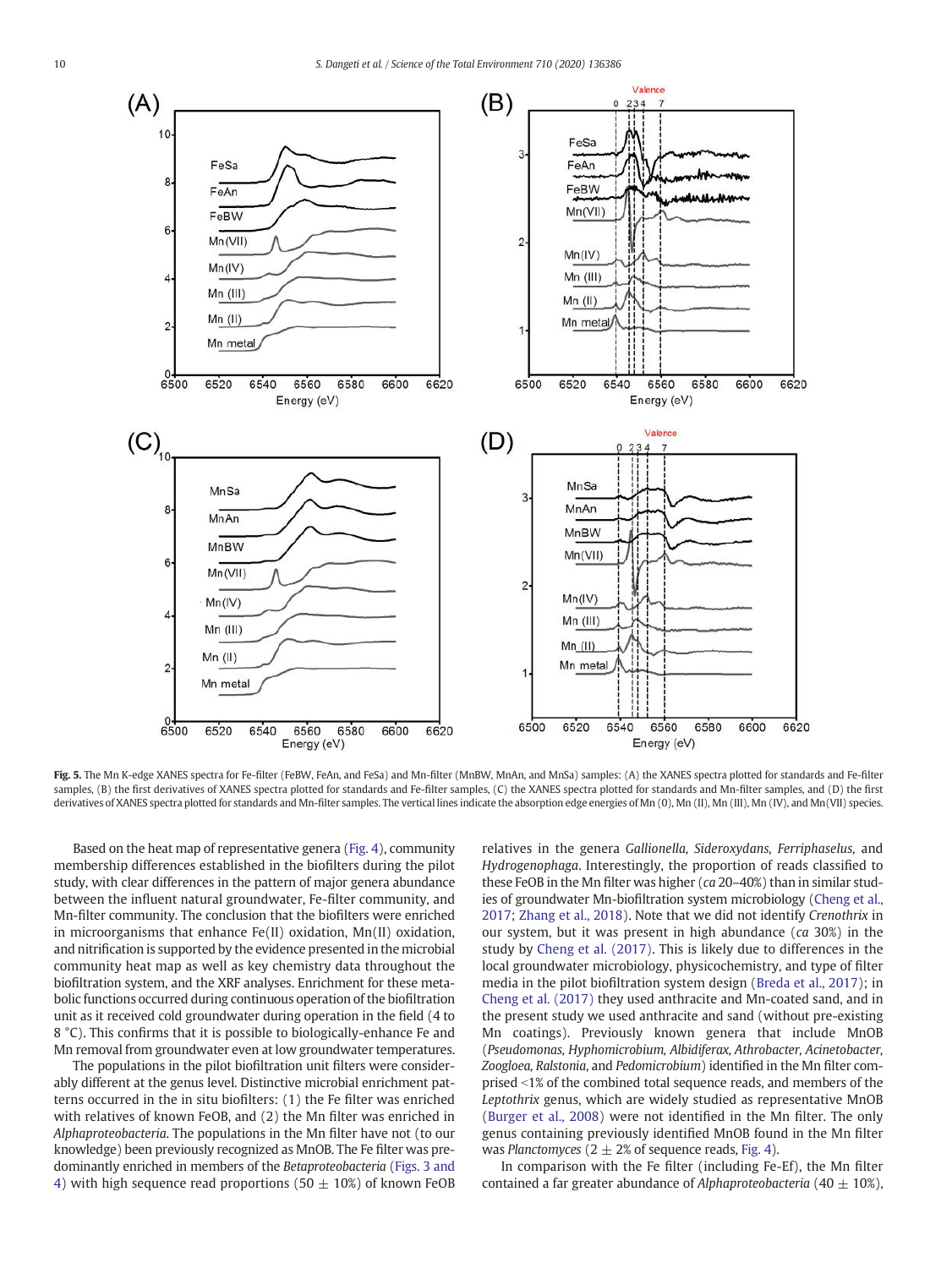<span id="page-9-0"></span>

Fig. 5. The Mn K-edge XANES spectra for Fe-filter (FeBW, FeAn, and FeSa) and Mn-filter (MnBW, MnAn, and MnSa) samples: (A) the XANES spectra plotted for standards and Fe-filter samples, (B) the first derivatives of XANES spectra plotted for standards and Fe-filter samples, (C) the XANES spectra plotted for standards and Mn-filter samples, and (D) the first derivatives of XANES spectra plotted for standards and Mn-filter samples. The vertical lines indicate the absorption edge energies of Mn (0), Mn (II), Mn (III), Mn (IV), and Mn(VII) species.

Based on the heat map of representative genera [\(Fig. 4\)](#page-7-0), community membership differences established in the biofilters during the pilot study, with clear differences in the pattern of major genera abundance between the influent natural groundwater, Fe-filter community, and Mn-filter community. The conclusion that the biofilters were enriched in microorganisms that enhance Fe(II) oxidation, Mn(II) oxidation, and nitrification is supported by the evidence presented in the microbial community heat map as well as key chemistry data throughout the biofiltration system, and the XRF analyses. Enrichment for these metabolic functions occurred during continuous operation of the biofiltration unit as it received cold groundwater during operation in the field (4 to 8 °C). This confirms that it is possible to biologically-enhance Fe and Mn removal from groundwater even at low groundwater temperatures.

The populations in the pilot biofiltration unit filters were considerably different at the genus level. Distinctive microbial enrichment patterns occurred in the in situ biofilters: (1) the Fe filter was enriched with relatives of known FeOB, and (2) the Mn filter was enriched in Alphaproteobacteria. The populations in the Mn filter have not (to our knowledge) been previously recognized as MnOB. The Fe filter was predominantly enriched in members of the Betaproteobacteria [\(Figs. 3 and](#page-6-0) [4](#page-6-0)) with high sequence read proportions (50  $\pm$  10%) of known FeOB relatives in the genera Gallionella, Sideroxydans, Ferriphaselus, and Hydrogenophaga. Interestingly, the proportion of reads classified to these FeOB in the Mn filter was higher (ca 20-40%) than in similar studies of groundwater Mn-biofiltration system microbiology ([Cheng et al.,](#page-13-0) [2017;](#page-13-0) [Zhang et al., 2018\)](#page-14-0). Note that we did not identify Crenothrix in our system, but it was present in high abundance (ca 30%) in the study by [Cheng et al. \(2017\)](#page-13-0). This is likely due to differences in the local groundwater microbiology, physicochemistry, and type of filter media in the pilot biofiltration system design [\(Breda et al., 2017\)](#page-12-0); in [Cheng et al. \(2017\)](#page-13-0) they used anthracite and Mn-coated sand, and in the present study we used anthracite and sand (without pre-existing Mn coatings). Previously known genera that include MnOB (Pseudomonas, Hyphomicrobium, Albidiferax, Athrobacter, Acinetobacter, Zoogloea, Ralstonia, and Pedomicrobium) identified in the Mn filter comprised <1% of the combined total sequence reads, and members of the Leptothrix genus, which are widely studied as representative MnOB [\(Burger et al., 2008\)](#page-13-0) were not identified in the Mn filter. The only genus containing previously identified MnOB found in the Mn filter was Planctomyces ( $2 \pm 2\%$  of sequence reads, [Fig. 4\)](#page-7-0).

In comparison with the Fe filter (including Fe-Ef), the Mn filter contained a far greater abundance of Alphaproteobacteria (40  $\pm$  10%),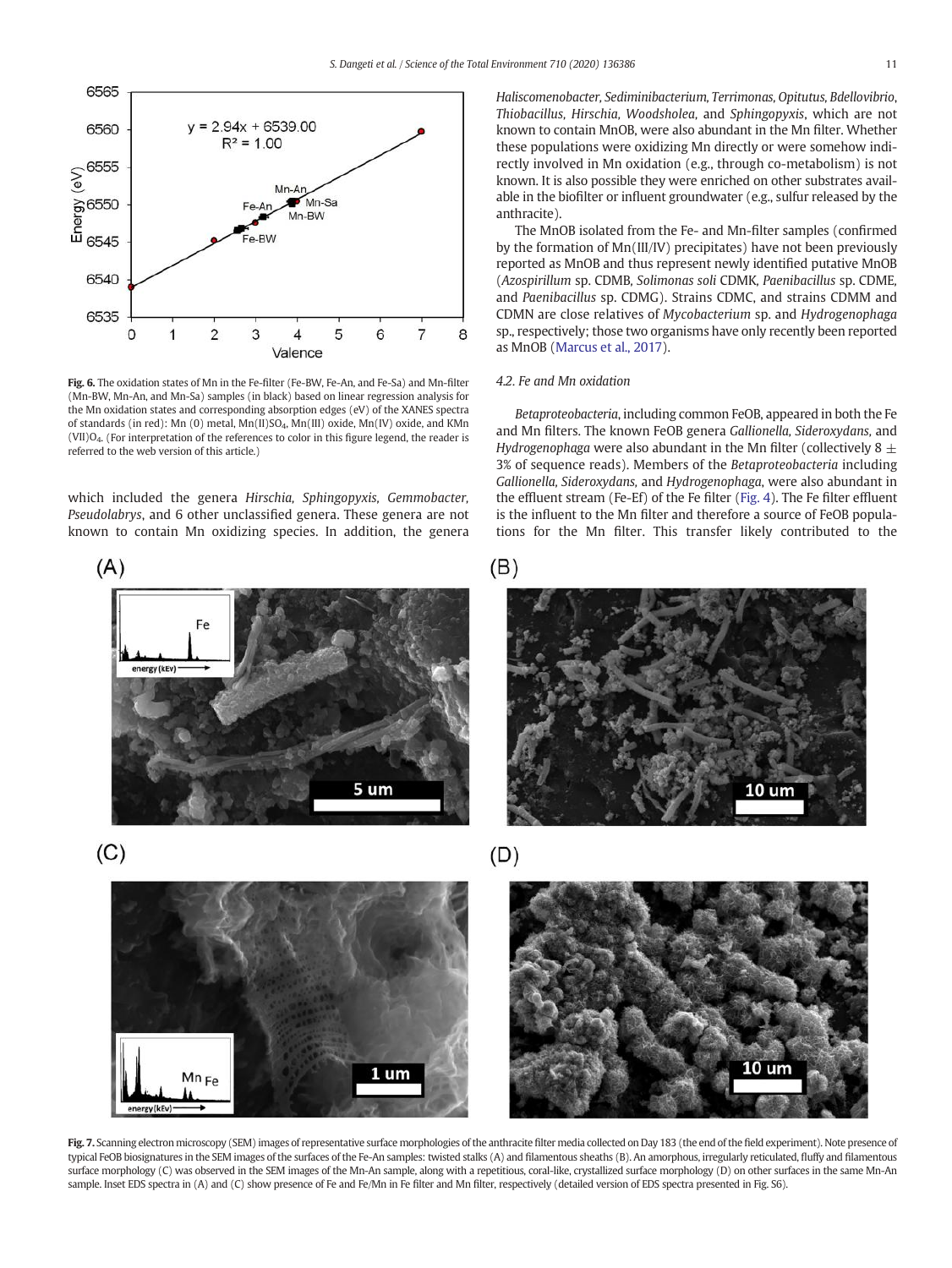<span id="page-10-0"></span>

Fig. 6. The oxidation states of Mn in the Fe-filter (Fe-BW, Fe-An, and Fe-Sa) and Mn-filter (Mn-BW, Mn-An, and Mn-Sa) samples (in black) based on linear regression analysis for the Mn oxidation states and corresponding absorption edges (eV) of the XANES spectra of standards (in red): Mn (0) metal, Mn(II)SO<sub>4</sub>, Mn(III) oxide, Mn(IV) oxide, and KMn (VII)O4. (For interpretation of the references to color in this figure legend, the reader is referred to the web version of this article.)

which included the genera Hirschia, Sphingopyxis, Gemmobacter, Pseudolabrys, and 6 other unclassified genera. These genera are not known to contain Mn oxidizing species. In addition, the genera

 $(A)$ rgy (kE) 5 um

 $(C)$ 



Haliscomenobacter, Sediminibacterium, Terrimonas, Opitutus, Bdellovibrio, Thiobacillus, Hirschia, Woodsholea, and Sphingopyxis, which are not known to contain MnOB, were also abundant in the Mn filter. Whether these populations were oxidizing Mn directly or were somehow indirectly involved in Mn oxidation (e.g., through co-metabolism) is not known. It is also possible they were enriched on other substrates available in the biofilter or influent groundwater (e.g., sulfur released by the anthracite).

The MnOB isolated from the Fe- and Mn-filter samples (confirmed by the formation of Mn(III/IV) precipitates) have not been previously reported as MnOB and thus represent newly identified putative MnOB (Azospirillum sp. CDMB, Solimonas soli CDMK, Paenibacillus sp. CDME, and Paenibacillus sp. CDMG). Strains CDMC, and strains CDMM and CDMN are close relatives of Mycobacterium sp. and Hydrogenophaga sp., respectively; those two organisms have only recently been reported as MnOB ([Marcus et al., 2017](#page-13-0)).

# 4.2. Fe and Mn oxidation

Betaproteobacteria, including common FeOB, appeared in both the Fe and Mn filters. The known FeOB genera Gallionella, Sideroxydans, and Hydrogenophaga were also abundant in the Mn filter (collectively 8  $\pm$ 3% of sequence reads). Members of the Betaproteobacteria including Gallionella, Sideroxydans, and Hydrogenophaga, were also abundant in the effluent stream (Fe-Ef) of the Fe filter [\(Fig. 4](#page-7-0)). The Fe filter effluent is the influent to the Mn filter and therefore a source of FeOB populations for the Mn filter. This transfer likely contributed to the

# $(B)$



 $(D)$ 



Fig. 7. Scanning electron microscopy (SEM) images of representative surface morphologies of the anthracite filter media collected on Day 183 (the end of the field experiment). Note presence of typical FeOB biosignatures in the SEM images of the surfaces of the Fe-An samples: twisted stalks (A) and filamentous sheaths (B). An amorphous, irregularly reticulated, fluffy and filamentous surface morphology (C) was observed in the SEM images of the Mn-An sample, along with a repetitious, coral-like, crystallized surface morphology (D) on other surfaces in the same Mn-An sample. Inset EDS spectra in (A) and (C) show presence of Fe and Fe/Mn in Fe filter and Mn filter, respectively (detailed version of EDS spectra presented in Fig. S6).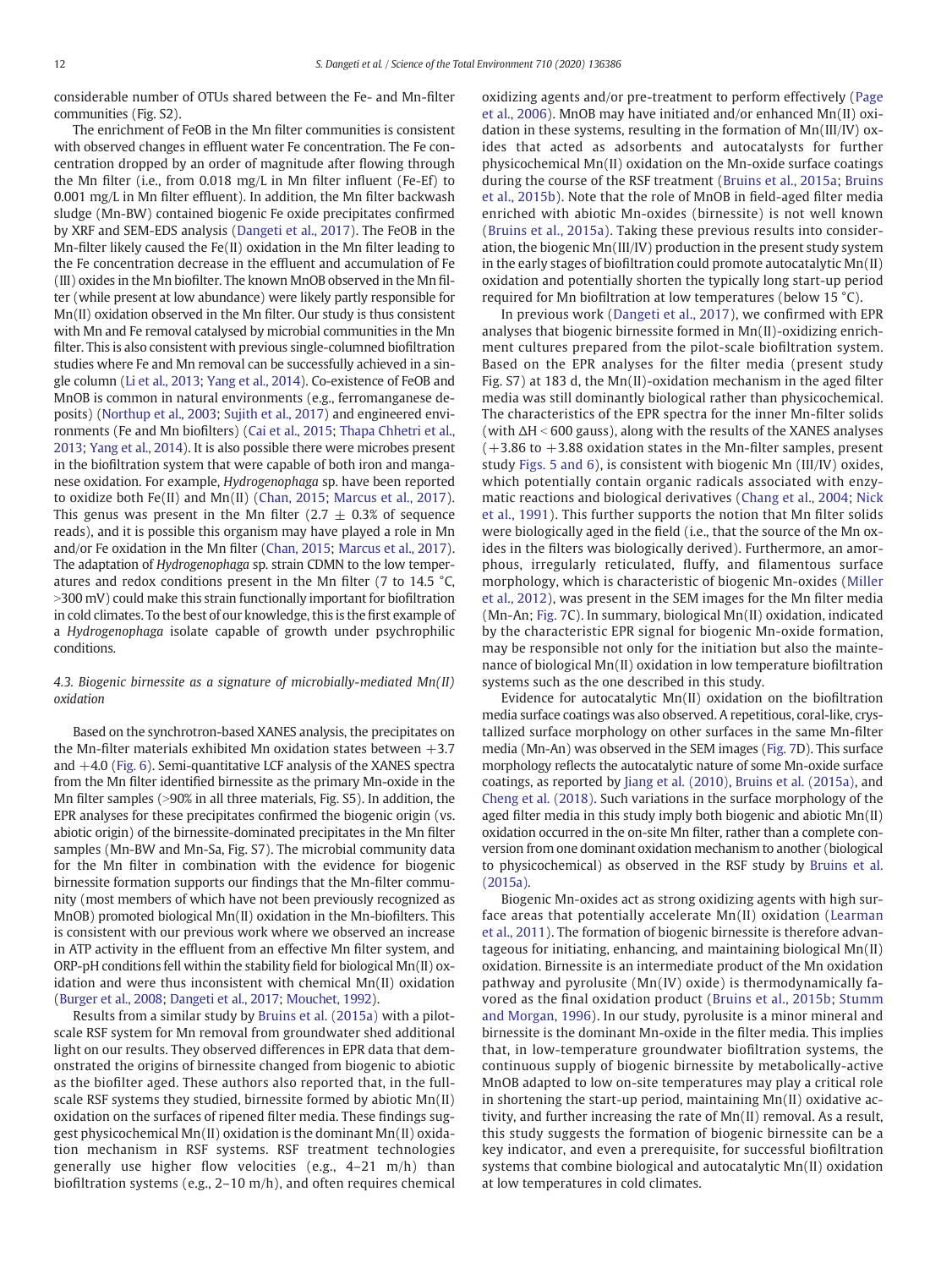considerable number of OTUs shared between the Fe- and Mn-filter communities (Fig. S2).

The enrichment of FeOB in the Mn filter communities is consistent with observed changes in effluent water Fe concentration. The Fe concentration dropped by an order of magnitude after flowing through the Mn filter (i.e., from 0.018 mg/L in Mn filter influent (Fe-Ef) to 0.001 mg/L in Mn filter effluent). In addition, the Mn filter backwash sludge (Mn-BW) contained biogenic Fe oxide precipitates confirmed by XRF and SEM-EDS analysis [\(Dangeti et al., 2017](#page-13-0)). The FeOB in the Mn-filter likely caused the Fe(II) oxidation in the Mn filter leading to the Fe concentration decrease in the effluent and accumulation of Fe (III) oxides in the Mn biofilter. The known MnOB observed in the Mn filter (while present at low abundance) were likely partly responsible for Mn(II) oxidation observed in the Mn filter. Our study is thus consistent with Mn and Fe removal catalysed by microbial communities in the Mn filter. This is also consistent with previous single-columned biofiltration studies where Fe and Mn removal can be successfully achieved in a single column ([Li et al., 2013](#page-13-0); [Yang et al., 2014\)](#page-14-0). Co-existence of FeOB and MnOB is common in natural environments (e.g., ferromanganese deposits) ([Northup et al., 2003](#page-13-0); [Sujith et al., 2017\)](#page-13-0) and engineered environments (Fe and Mn biofilters) ([Cai et al., 2015;](#page-13-0) [Thapa Chhetri et al.,](#page-13-0) [2013;](#page-13-0) [Yang et al., 2014](#page-14-0)). It is also possible there were microbes present in the biofiltration system that were capable of both iron and manganese oxidation. For example, Hydrogenophaga sp. have been reported to oxidize both Fe(II) and Mn(II) [\(Chan, 2015;](#page-13-0) [Marcus et al., 2017](#page-13-0)). This genus was present in the Mn filter (2.7  $\pm$  0.3% of sequence reads), and it is possible this organism may have played a role in Mn and/or Fe oxidation in the Mn filter ([Chan, 2015;](#page-13-0) [Marcus et al., 2017](#page-13-0)). The adaptation of Hydrogenophaga sp. strain CDMN to the low temperatures and redox conditions present in the Mn filter (7 to 14.5 °C, >300 mV) could make this strain functionally important for biofiltration in cold climates. To the best of our knowledge, this is the first example of a Hydrogenophaga isolate capable of growth under psychrophilic conditions.

# 4.3. Biogenic birnessite as a signature of microbially-mediated Mn(II) oxidation

Based on the synchrotron-based XANES analysis, the precipitates on the Mn-filter materials exhibited Mn oxidation states between  $+3.7$ and  $+4.0$  [\(Fig. 6\)](#page-10-0). Semi-quantitative LCF analysis of the XANES spectra from the Mn filter identified birnessite as the primary Mn-oxide in the Mn filter samples  $(>90\%)$  in all three materials, Fig. S5). In addition, the EPR analyses for these precipitates confirmed the biogenic origin (vs. abiotic origin) of the birnessite-dominated precipitates in the Mn filter samples (Mn-BW and Mn-Sa, Fig. S7). The microbial community data for the Mn filter in combination with the evidence for biogenic birnessite formation supports our findings that the Mn-filter community (most members of which have not been previously recognized as MnOB) promoted biological Mn(II) oxidation in the Mn-biofilters. This is consistent with our previous work where we observed an increase in ATP activity in the effluent from an effective Mn filter system, and ORP-pH conditions fell within the stability field for biological Mn(II) oxidation and were thus inconsistent with chemical Mn(II) oxidation [\(Burger et al., 2008;](#page-13-0) [Dangeti et al., 2017;](#page-13-0) [Mouchet, 1992](#page-13-0)).

Results from a similar study by [Bruins et al. \(2015a\)](#page-12-0) with a pilotscale RSF system for Mn removal from groundwater shed additional light on our results. They observed differences in EPR data that demonstrated the origins of birnessite changed from biogenic to abiotic as the biofilter aged. These authors also reported that, in the fullscale RSF systems they studied, birnessite formed by abiotic Mn(II) oxidation on the surfaces of ripened filter media. These findings suggest physicochemical Mn(II) oxidation is the dominant Mn(II) oxidation mechanism in RSF systems. RSF treatment technologies generally use higher flow velocities (e.g., 4–21 m/h) than biofiltration systems (e.g., 2–10 m/h), and often requires chemical oxidizing agents and/or pre-treatment to perform effectively [\(Page](#page-13-0) [et al., 2006](#page-13-0)). MnOB may have initiated and/or enhanced Mn(II) oxidation in these systems, resulting in the formation of Mn(III/IV) oxides that acted as adsorbents and autocatalysts for further physicochemical Mn(II) oxidation on the Mn-oxide surface coatings during the course of the RSF treatment ([Bruins et al., 2015a;](#page-12-0) [Bruins](#page-13-0) [et al., 2015b\)](#page-13-0). Note that the role of MnOB in field-aged filter media enriched with abiotic Mn-oxides (birnessite) is not well known [\(Bruins et al., 2015a](#page-12-0)). Taking these previous results into consideration, the biogenic Mn(III/IV) production in the present study system in the early stages of biofiltration could promote autocatalytic Mn(II) oxidation and potentially shorten the typically long start-up period required for Mn biofiltration at low temperatures (below 15 °C).

In previous work ([Dangeti et al., 2017\)](#page-13-0), we confirmed with EPR analyses that biogenic birnessite formed in Mn(II)-oxidizing enrichment cultures prepared from the pilot-scale biofiltration system. Based on the EPR analyses for the filter media (present study Fig. S7) at 183 d, the Mn(II)-oxidation mechanism in the aged filter media was still dominantly biological rather than physicochemical. The characteristics of the EPR spectra for the inner Mn-filter solids (with  $\Delta H$  < 600 gauss), along with the results of the XANES analyses  $(+3.86$  to  $+3.88$  oxidation states in the Mn-filter samples, present study [Figs. 5 and 6\)](#page-9-0), is consistent with biogenic Mn (III/IV) oxides, which potentially contain organic radicals associated with enzymatic reactions and biological derivatives ([Chang et al., 2004;](#page-13-0) [Nick](#page-13-0) [et al., 1991\)](#page-13-0). This further supports the notion that Mn filter solids were biologically aged in the field (i.e., that the source of the Mn oxides in the filters was biologically derived). Furthermore, an amorphous, irregularly reticulated, fluffy, and filamentous surface morphology, which is characteristic of biogenic Mn-oxides ([Miller](#page-13-0) [et al., 2012](#page-13-0)), was present in the SEM images for the Mn filter media (Mn-An; [Fig. 7](#page-10-0)C). In summary, biological Mn(II) oxidation, indicated by the characteristic EPR signal for biogenic Mn-oxide formation, may be responsible not only for the initiation but also the maintenance of biological Mn(II) oxidation in low temperature biofiltration systems such as the one described in this study.

Evidence for autocatalytic Mn(II) oxidation on the biofiltration media surface coatings was also observed. A repetitious, coral-like, crystallized surface morphology on other surfaces in the same Mn-filter media (Mn-An) was observed in the SEM images [\(Fig. 7](#page-10-0)D). This surface morphology reflects the autocatalytic nature of some Mn-oxide surface coatings, as reported by [Jiang et al. \(2010\)](#page-13-0), [Bruins et al. \(2015a\)](#page-12-0), and [Cheng et al. \(2018\).](#page-13-0) Such variations in the surface morphology of the aged filter media in this study imply both biogenic and abiotic Mn(II) oxidation occurred in the on-site Mn filter, rather than a complete conversion from one dominant oxidation mechanism to another (biological to physicochemical) as observed in the RSF study by [Bruins et al.](#page-12-0) [\(2015a\)](#page-12-0).

Biogenic Mn-oxides act as strong oxidizing agents with high surface areas that potentially accelerate Mn(II) oxidation ([Learman](#page-13-0) [et al., 2011\)](#page-13-0). The formation of biogenic birnessite is therefore advantageous for initiating, enhancing, and maintaining biological Mn(II) oxidation. Birnessite is an intermediate product of the Mn oxidation pathway and pyrolusite (Mn(IV) oxide) is thermodynamically favored as the final oxidation product ([Bruins et al., 2015b](#page-13-0); [Stumm](#page-13-0) [and Morgan, 1996\)](#page-13-0). In our study, pyrolusite is a minor mineral and birnessite is the dominant Mn-oxide in the filter media. This implies that, in low-temperature groundwater biofiltration systems, the continuous supply of biogenic birnessite by metabolically-active MnOB adapted to low on-site temperatures may play a critical role in shortening the start-up period, maintaining Mn(II) oxidative activity, and further increasing the rate of Mn(II) removal. As a result, this study suggests the formation of biogenic birnessite can be a key indicator, and even a prerequisite, for successful biofiltration systems that combine biological and autocatalytic Mn(II) oxidation at low temperatures in cold climates.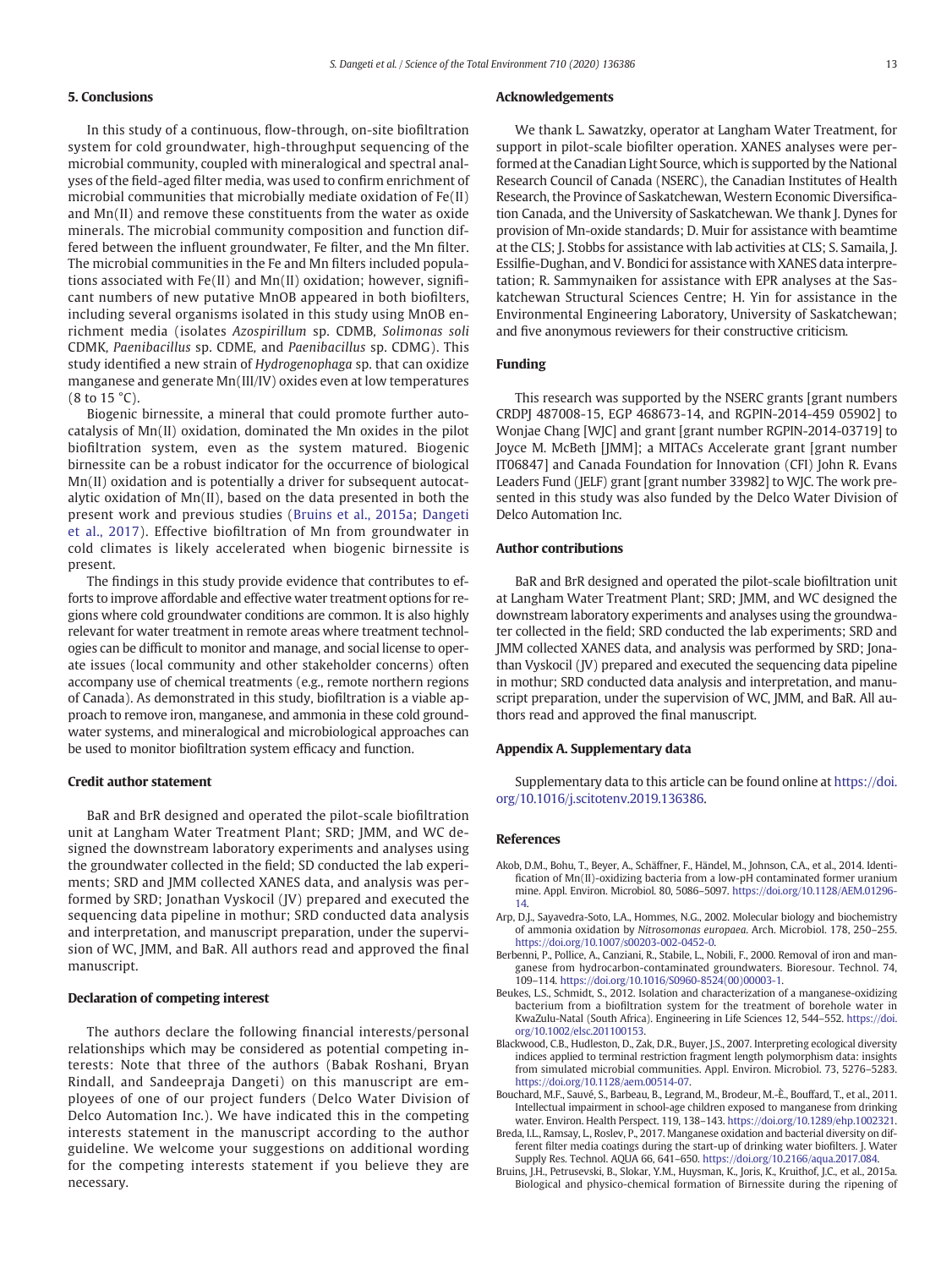# <span id="page-12-0"></span>5. Conclusions

In this study of a continuous, flow-through, on-site biofiltration system for cold groundwater, high-throughput sequencing of the microbial community, coupled with mineralogical and spectral analyses of the field-aged filter media, was used to confirm enrichment of microbial communities that microbially mediate oxidation of Fe(II) and Mn(II) and remove these constituents from the water as oxide minerals. The microbial community composition and function differed between the influent groundwater, Fe filter, and the Mn filter. The microbial communities in the Fe and Mn filters included populations associated with Fe(II) and Mn(II) oxidation; however, significant numbers of new putative MnOB appeared in both biofilters, including several organisms isolated in this study using MnOB enrichment media (isolates Azospirillum sp. CDMB, Solimonas soli CDMK, Paenibacillus sp. CDME, and Paenibacillus sp. CDMG). This study identified a new strain of Hydrogenophaga sp. that can oxidize manganese and generate Mn(III/IV) oxides even at low temperatures (8 to 15 °C).

Biogenic birnessite, a mineral that could promote further autocatalysis of Mn(II) oxidation, dominated the Mn oxides in the pilot biofiltration system, even as the system matured. Biogenic birnessite can be a robust indicator for the occurrence of biological Mn(II) oxidation and is potentially a driver for subsequent autocatalytic oxidation of Mn(II), based on the data presented in both the present work and previous studies (Bruins et al., 2015a; [Dangeti](#page-13-0) [et al., 2017](#page-13-0)). Effective biofiltration of Mn from groundwater in cold climates is likely accelerated when biogenic birnessite is present.

The findings in this study provide evidence that contributes to efforts to improve affordable and effective water treatment options for regions where cold groundwater conditions are common. It is also highly relevant for water treatment in remote areas where treatment technologies can be difficult to monitor and manage, and social license to operate issues (local community and other stakeholder concerns) often accompany use of chemical treatments (e.g., remote northern regions of Canada). As demonstrated in this study, biofiltration is a viable approach to remove iron, manganese, and ammonia in these cold groundwater systems, and mineralogical and microbiological approaches can be used to monitor biofiltration system efficacy and function.

# Credit author statement

BaR and BrR designed and operated the pilot-scale biofiltration unit at Langham Water Treatment Plant; SRD; JMM, and WC designed the downstream laboratory experiments and analyses using the groundwater collected in the field; SD conducted the lab experiments; SRD and JMM collected XANES data, and analysis was performed by SRD; Jonathan Vyskocil (JV) prepared and executed the sequencing data pipeline in mothur; SRD conducted data analysis and interpretation, and manuscript preparation, under the supervision of WC, JMM, and BaR. All authors read and approved the final manuscript.

# Declaration of competing interest

The authors declare the following financial interests/personal relationships which may be considered as potential competing interests: Note that three of the authors (Babak Roshani, Bryan Rindall, and Sandeepraja Dangeti) on this manuscript are employees of one of our project funders (Delco Water Division of Delco Automation Inc.). We have indicated this in the competing interests statement in the manuscript according to the author guideline. We welcome your suggestions on additional wording for the competing interests statement if you believe they are necessary.

# Acknowledgements

We thank L. Sawatzky, operator at Langham Water Treatment, for support in pilot-scale biofilter operation. XANES analyses were performed at the Canadian Light Source, which is supported by the National Research Council of Canada (NSERC), the Canadian Institutes of Health Research, the Province of Saskatchewan, Western Economic Diversification Canada, and the University of Saskatchewan. We thank J. Dynes for provision of Mn-oxide standards; D. Muir for assistance with beamtime at the CLS; J. Stobbs for assistance with lab activities at CLS; S. Samaila, J. Essilfie-Dughan, and V. Bondici for assistance with XANES data interpretation; R. Sammynaiken for assistance with EPR analyses at the Saskatchewan Structural Sciences Centre; H. Yin for assistance in the Environmental Engineering Laboratory, University of Saskatchewan; and five anonymous reviewers for their constructive criticism.

# Funding

This research was supported by the NSERC grants [grant numbers CRDPJ 487008-15, EGP 468673-14, and RGPIN-2014-459 05902] to Wonjae Chang [WJC] and grant [grant number RGPIN-2014-03719] to Joyce M. McBeth [JMM]; a MITACs Accelerate grant [grant number IT06847] and Canada Foundation for Innovation (CFI) John R. Evans Leaders Fund (JELF) grant [grant number 33982] to WJC. The work presented in this study was also funded by the Delco Water Division of Delco Automation Inc.

# Author contributions

BaR and BrR designed and operated the pilot-scale biofiltration unit at Langham Water Treatment Plant; SRD; JMM, and WC designed the downstream laboratory experiments and analyses using the groundwater collected in the field; SRD conducted the lab experiments; SRD and JMM collected XANES data, and analysis was performed by SRD; Jonathan Vyskocil (JV) prepared and executed the sequencing data pipeline in mothur; SRD conducted data analysis and interpretation, and manuscript preparation, under the supervision of WC, JMM, and BaR. All authors read and approved the final manuscript.

# Appendix A. Supplementary data

Supplementary data to this article can be found online at [https://doi.](https://doi.org/10.1016/j.scitotenv.2019.136386) [org/10.1016/j.scitotenv.2019.136386](https://doi.org/10.1016/j.scitotenv.2019.136386).

#### References

- Akob, D.M., Bohu, T., Beyer, A., Schäffner, F., Händel, M., Johnson, C.A., et al., 2014. Identification of Mn(II)-oxidizing bacteria from a low-pH contaminated former uranium mine. Appl. Environ. Microbiol. 80, 5086–5097. [https://doi.org/10.1128/AEM.01296-](https://doi.org/10.1128/AEM.01296-14) [14.](https://doi.org/10.1128/AEM.01296-14)
- Arp, D.J., Sayavedra-Soto, L.A., Hommes, N.G., 2002. Molecular biology and biochemistry of ammonia oxidation by Nitrosomonas europaea. Arch. Microbiol. 178, 250–255. [https://doi.org/10.1007/s00203-002-0452-0.](https://doi.org/10.1007/s00203-002-0452-0)
- Berbenni, P., Pollice, A., Canziani, R., Stabile, L., Nobili, F., 2000. Removal of iron and manganese from hydrocarbon-contaminated groundwaters. Bioresour. Technol. 74, 109–114. [https://doi.org/10.1016/S0960-8524\(00\)00003-1](https://doi.org/10.1016/S0960-8524(00)00003-1).
- Beukes, L.S., Schmidt, S., 2012. Isolation and characterization of a manganese-oxidizing bacterium from a biofiltration system for the treatment of borehole water in KwaZulu-Natal (South Africa). Engineering in Life Sciences 12, 544–552. [https://doi.](https://doi.org/10.1002/elsc.201100153) [org/10.1002/elsc.201100153.](https://doi.org/10.1002/elsc.201100153)
- Blackwood, C.B., Hudleston, D., Zak, D.R., Buyer, J.S., 2007. Interpreting ecological diversity indices applied to terminal restriction fragment length polymorphism data: insights from simulated microbial communities. Appl. Environ. Microbiol. 73, 5276–5283. <https://doi.org/10.1128/aem.00514-07>.
- Bouchard, M.F., Sauvé, S., Barbeau, B., Legrand, M., Brodeur, M.-È., Bouffard, T., et al., 2011. Intellectual impairment in school-age children exposed to manganese from drinking water. Environ. Health Perspect. 119, 138–143. <https://doi.org/10.1289/ehp.1002321>.
- Breda, I.L., Ramsay, L., Roslev, P., 2017. Manganese oxidation and bacterial diversity on different filter media coatings during the start-up of drinking water biofilters. J. Water Supply Res. Technol. AQUA 66, 641–650. <https://doi.org/10.2166/aqua.2017.084>.
- Bruins, J.H., Petrusevski, B., Slokar, Y.M., Huysman, K., Joris, K., Kruithof, J.C., et al., 2015a. Biological and physico-chemical formation of Birnessite during the ripening of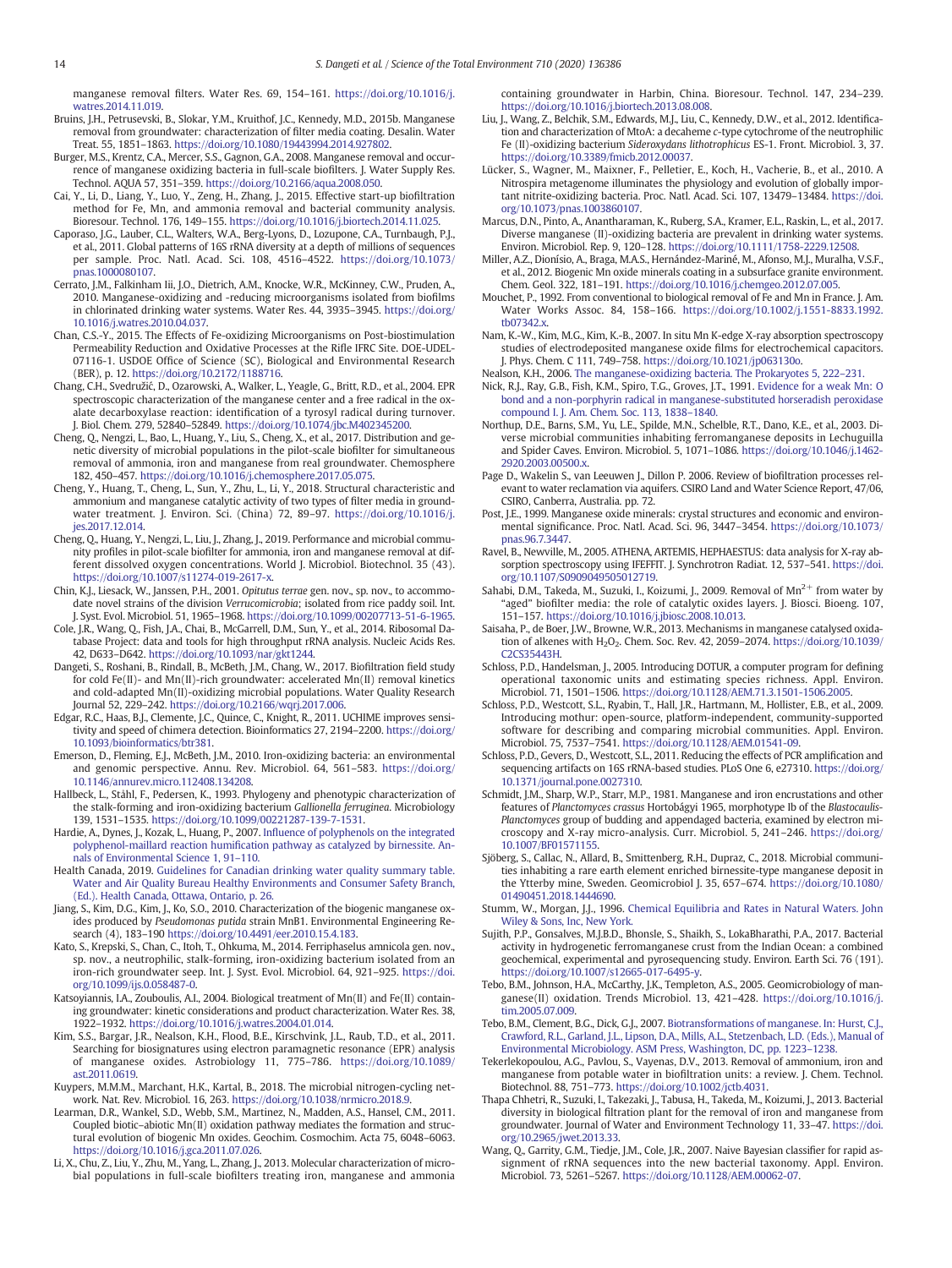<span id="page-13-0"></span>manganese removal filters. Water Res. 69, 154–161. [https://doi.org/10.1016/j.](https://doi.org/10.1016/j.watres.2014.11.019) [watres.2014.11.019.](https://doi.org/10.1016/j.watres.2014.11.019)

- Bruins, J.H., Petrusevski, B., Slokar, Y.M., Kruithof, J.C., Kennedy, M.D., 2015b. Manganese removal from groundwater: characterization of filter media coating. Desalin. Water Treat. 55, 1851–1863. [https://doi.org/10.1080/19443994.2014.927802.](https://doi.org/10.1080/19443994.2014.927802)
- Burger, M.S., Krentz, C.A., Mercer, S.S., Gagnon, G.A., 2008. Manganese removal and occurrence of manganese oxidizing bacteria in full-scale biofilters. J. Water Supply Res. Technol. AQUA 57, 351–359. [https://doi.org/10.2166/aqua.2008.050.](https://doi.org/10.2166/aqua.2008.050)
- Cai, Y., Li, D., Liang, Y., Luo, Y., Zeng, H., Zhang, J., 2015. Effective start-up biofiltration method for Fe, Mn, and ammonia removal and bacterial community analysis. Bioresour. Technol. 176, 149–155. <https://doi.org/10.1016/j.biortech.2014.11.025>.
- Caporaso, J.G., Lauber, C.L., Walters, W.A., Berg-Lyons, D., Lozupone, C.A., Turnbaugh, P.J., et al., 2011. Global patterns of 16S rRNA diversity at a depth of millions of sequences per sample. Proc. Natl. Acad. Sci. 108, 4516–4522. [https://doi.org/10.1073/](https://doi.org/10.1073/pnas.1000080107) [pnas.1000080107.](https://doi.org/10.1073/pnas.1000080107)
- Cerrato, J.M., Falkinham Iii, J.O., Dietrich, A.M., Knocke, W.R., McKinney, C.W., Pruden, A., 2010. Manganese-oxidizing and -reducing microorganisms isolated from biofilms in chlorinated drinking water systems. Water Res. 44, 3935–3945. [https://doi.org/](https://doi.org/10.1016/j.watres.2010.04.037) [10.1016/j.watres.2010.04.037](https://doi.org/10.1016/j.watres.2010.04.037).
- Chan, C.S.-Y., 2015. The Effects of Fe-oxidizing Microorganisms on Post-biostimulation Permeability Reduction and Oxidative Processes at the Rifle IFRC Site. DOE-UDEL-07116-1. USDOE Office of Science (SC), Biological and Environmental Research (BER), p. 12. [https://doi.org/10.2172/1188716.](https://doi.org/10.2172/1188716)
- Chang, C.H., Svedružić, D., Ozarowski, A., Walker, L., Yeagle, G., Britt, R.D., et al., 2004. EPR spectroscopic characterization of the manganese center and a free radical in the oxalate decarboxylase reaction: identification of a tyrosyl radical during turnover. J. Biol. Chem. 279, 52840–52849. <https://doi.org/10.1074/jbc.M402345200>.
- Cheng, Q., Nengzi, L., Bao, L., Huang, Y., Liu, S., Cheng, X., et al., 2017. Distribution and genetic diversity of microbial populations in the pilot-scale biofilter for simultaneous removal of ammonia, iron and manganese from real groundwater. Chemosphere 182, 450–457. <https://doi.org/10.1016/j.chemosphere.2017.05.075>.
- Cheng, Y., Huang, T., Cheng, L., Sun, Y., Zhu, L., Li, Y., 2018. Structural characteristic and ammonium and manganese catalytic activity of two types of filter media in groundwater treatment. J. Environ. Sci. (China) 72, 89–97. [https://doi.org/10.1016/j.](https://doi.org/10.1016/j.jes.2017.12.014) [jes.2017.12.014.](https://doi.org/10.1016/j.jes.2017.12.014)
- Cheng, Q., Huang, Y., Nengzi, L., Liu, J., Zhang, J., 2019. Performance and microbial community profiles in pilot-scale biofilter for ammonia, iron and manganese removal at different dissolved oxygen concentrations. World J. Microbiol. Biotechnol. 35 (43). [https://doi.org/10.1007/s11274-019-2617-x.](https://doi.org/10.1007/s11274-019-2617-x)
- Chin, K.J., Liesack, W., Janssen, P.H., 2001. Opitutus terrae gen. nov., sp. nov., to accommodate novel strains of the division Verrucomicrobia; isolated from rice paddy soil. Int. J. Syst. Evol. Microbiol. 51, 1965–1968. <https://doi.org/10.1099/00207713-51-6-1965>.
- Cole, J.R., Wang, Q., Fish, J.A., Chai, B., McGarrell, D.M., Sun, Y., et al., 2014. Ribosomal Database Project: data and tools for high throughput rRNA analysis. Nucleic Acids Res. 42, D633–D642. [https://doi.org/10.1093/nar/gkt1244.](https://doi.org/10.1093/nar/gkt1244)
- Dangeti, S., Roshani, B., Rindall, B., McBeth, J.M., Chang, W., 2017. Biofiltration field study for cold Fe(II)- and Mn(II)-rich groundwater: accelerated Mn(II) removal kinetics and cold-adapted Mn(II)-oxidizing microbial populations. Water Quality Research Journal 52, 229–242. <https://doi.org/10.2166/wqrj.2017.006>.
- Edgar, R.C., Haas, B.J., Clemente, J.C., Quince, C., Knight, R., 2011. UCHIME improves sensitivity and speed of chimera detection. Bioinformatics 27, 2194–2200. [https://doi.org/](https://doi.org/10.1093/bioinformatics/btr381) [10.1093/bioinformatics/btr381](https://doi.org/10.1093/bioinformatics/btr381).
- Emerson, D., Fleming, E.J., McBeth, J.M., 2010. Iron-oxidizing bacteria: an environmental and genomic perspective. Annu. Rev. Microbiol. 64, 561–583. [https://doi.org/](https://doi.org/10.1146/annurev.micro.112408.134208) [10.1146/annurev.micro.112408.134208](https://doi.org/10.1146/annurev.micro.112408.134208).
- Hallbeck, L., Ståhl, F., Pedersen, K., 1993. Phylogeny and phenotypic characterization of the stalk-forming and iron-oxidizing bacterium Gallionella ferruginea. Microbiology 139, 1531–1535. <https://doi.org/10.1099/00221287-139-7-1531>.
- Hardie, A., Dynes, J., Kozak, L., Huang, P., 2007. Infl[uence of polyphenols on the integrated](http://refhub.elsevier.com/S0048-9697(19)36382-X/rf0125) polyphenol-maillard reaction humifi[cation pathway as catalyzed by birnessite. An](http://refhub.elsevier.com/S0048-9697(19)36382-X/rf0125)[nals of Environmental Science 1, 91](http://refhub.elsevier.com/S0048-9697(19)36382-X/rf0125)–110.
- Health Canada, 2019. [Guidelines for Canadian drinking water quality summary table.](http://refhub.elsevier.com/S0048-9697(19)36382-X/rf0130) [Water and Air Quality Bureau Healthy Environments and Consumer Safety Branch,](http://refhub.elsevier.com/S0048-9697(19)36382-X/rf0130) [\(Ed.\). Health Canada, Ottawa, Ontario, p. 26.](http://refhub.elsevier.com/S0048-9697(19)36382-X/rf0130)
- Jiang, S., Kim, D.G., Kim, J., Ko, S.O., 2010. Characterization of the biogenic manganese oxides produced by Pseudomonas putida strain MnB1. Environmental Engineering Research (4), 183–190 [https://doi.org/10.4491/eer.2010.15.4.183.](https://doi.org/10.4491/eer.2010.15.4.183)
- Kato, S., Krepski, S., Chan, C., Itoh, T., Ohkuma, M., 2014. Ferriphaselus amnicola gen. nov., sp. nov., a neutrophilic, stalk-forming, iron-oxidizing bacterium isolated from an iron-rich groundwater seep. Int. J. Syst. Evol. Microbiol. 64, 921–925. [https://doi.](https://doi.org/10.1099/ijs.0.058487-0) [org/10.1099/ijs.0.058487-0](https://doi.org/10.1099/ijs.0.058487-0).
- Katsoyiannis, I.A., Zouboulis, A.I., 2004. Biological treatment of Mn(II) and Fe(II) containing groundwater: kinetic considerations and product characterization. Water Res. 38, 1922–1932. <https://doi.org/10.1016/j.watres.2004.01.014>.
- Kim, S.S., Bargar, J.R., Nealson, K.H., Flood, B.E., Kirschvink, J.L., Raub, T.D., et al., 2011. Searching for biosignatures using electron paramagnetic resonance (EPR) analysis of manganese oxides. Astrobiology 11, 775–786. [https://doi.org/10.1089/](https://doi.org/10.1089/ast.2011.0619) [ast.2011.0619.](https://doi.org/10.1089/ast.2011.0619)
- Kuypers, M.M.M., Marchant, H.K., Kartal, B., 2018. The microbial nitrogen-cycling network. Nat. Rev. Microbiol. 16, 263. <https://doi.org/10.1038/nrmicro.2018.9>.
- Learman, D.R., Wankel, S.D., Webb, S.M., Martinez, N., Madden, A.S., Hansel, C.M., 2011. Coupled biotic–abiotic Mn(II) oxidation pathway mediates the formation and structural evolution of biogenic Mn oxides. Geochim. Cosmochim. Acta 75, 6048–6063. <https://doi.org/10.1016/j.gca.2011.07.026>.
- Li, X., Chu, Z., Liu, Y., Zhu, M., Yang, L., Zhang, J., 2013. Molecular characterization of microbial populations in full-scale biofilters treating iron, manganese and ammonia

containing groundwater in Harbin, China. Bioresour. Technol. 147, 234–239. <https://doi.org/10.1016/j.biortech.2013.08.008>.

- Liu, J., Wang, Z., Belchik, S.M., Edwards, M.J., Liu, C., Kennedy, D.W., et al., 2012. Identification and characterization of MtoA: a decaheme c-type cytochrome of the neutrophilic Fe (II)-oxidizing bacterium Sideroxydans lithotrophicus ES-1. Front. Microbiol. 3, 37. <https://doi.org/10.3389/fmicb.2012.00037>.
- Lücker, S., Wagner, M., Maixner, F., Pelletier, E., Koch, H., Vacherie, B., et al., 2010. A Nitrospira metagenome illuminates the physiology and evolution of globally important nitrite-oxidizing bacteria. Proc. Natl. Acad. Sci. 107, 13479–13484. [https://doi.](https://doi.org/10.1073/pnas.1003860107) [org/10.1073/pnas.1003860107](https://doi.org/10.1073/pnas.1003860107).
- Marcus, D.N., Pinto, A., Anantharaman, K., Ruberg, S.A., Kramer, E.L., Raskin, L., et al., 2017. Diverse manganese (II)-oxidizing bacteria are prevalent in drinking water systems. Environ. Microbiol. Rep. 9, 120–128. <https://doi.org/10.1111/1758-2229.12508>.
- Miller, A.Z., Dionísio, A., Braga, M.A.S., Hernández-Mariné, M., Afonso, M.J., Muralha, V.S.F., et al., 2012. Biogenic Mn oxide minerals coating in a subsurface granite environment. Chem. Geol. 322, 181–191. <https://doi.org/10.1016/j.chemgeo.2012.07.005>.
- Mouchet, P., 1992. From conventional to biological removal of Fe and Mn in France. J. Am. Water Works Assoc. 84, 158–166. [https://doi.org/10.1002/j.1551-8833.1992.](https://doi.org/10.1002/j.1551-8833.1992.tb07342.x) [tb07342.x](https://doi.org/10.1002/j.1551-8833.1992.tb07342.x).
- Nam, K.-W., Kim, M.G., Kim, K.-B., 2007. In situ Mn K-edge X-ray absorption spectroscopy studies of electrodeposited manganese oxide films for electrochemical capacitors. J. Phys. Chem. C 111, 749–758. [https://doi.org/10.1021/jp063130o.](https://doi.org/10.1021/jp063130o)
- Nealson, K.H., 2006. [The manganese-oxidizing bacteria. The Prokaryotes 5, 222](http://refhub.elsevier.com/S0048-9697(19)36382-X/rf0200)–231.
- Nick, R.J., Ray, G.B., Fish, K.M., Spiro, T.G., Groves, J.T., 1991. [Evidence for a weak Mn: O](http://refhub.elsevier.com/S0048-9697(19)36382-X/rf0205) [bond and a non-porphyrin radical in manganese-substituted horseradish peroxidase](http://refhub.elsevier.com/S0048-9697(19)36382-X/rf0205) [compound I. J. Am. Chem. Soc. 113, 1838](http://refhub.elsevier.com/S0048-9697(19)36382-X/rf0205)–1840.
- Northup, D.E., Barns, S.M., Yu, L.E., Spilde, M.N., Schelble, R.T., Dano, K.E., et al., 2003. Diverse microbial communities inhabiting ferromanganese deposits in Lechuguilla and Spider Caves. Environ. Microbiol. 5, 1071–1086. [https://doi.org/10.1046/j.1462-](https://doi.org/10.1046/j.1462-2920.2003.00500.x) [2920.2003.00500.x](https://doi.org/10.1046/j.1462-2920.2003.00500.x).
- Page D., Wakelin S., van Leeuwen J., Dillon P. 2006. Review of biofiltration processes relevant to water reclamation via aquifers. CSIRO Land and Water Science Report, 47/06, CSIRO, Canberra, Australia. pp. 72.
- Post, J.E., 1999. Manganese oxide minerals: crystal structures and economic and environmental significance. Proc. Natl. Acad. Sci. 96, 3447–3454. [https://doi.org/10.1073/](https://doi.org/10.1073/pnas.96.7.3447) [pnas.96.7.3447.](https://doi.org/10.1073/pnas.96.7.3447)
- Ravel, B., Newville, M., 2005. ATHENA, ARTEMIS, HEPHAESTUS: data analysis for X-ray absorption spectroscopy using IFEFFIT. J. Synchrotron Radiat. 12, 537–541. [https://doi.](https://doi.org/10.1107/S0909049505012719) [org/10.1107/S0909049505012719](https://doi.org/10.1107/S0909049505012719).
- Sahabi, D.M., Takeda, M., Suzuki, I., Koizumi, J., 2009. Removal of  $Mn^{2+}$  from water by "aged" biofilter media: the role of catalytic oxides layers. J. Biosci. Bioeng. 107, 151–157. <https://doi.org/10.1016/j.jbiosc.2008.10.013>.
- Saisaha, P., de Boer, J.W., Browne, W.R., 2013. Mechanisms in manganese catalysed oxidation of alkenes with  $H_2O_2$ . Chem. Soc. Rev. 42, 2059–2074. [https://doi.org/10.1039/](https://doi.org/10.1039/C2CS35443H) [C2CS35443H](https://doi.org/10.1039/C2CS35443H).
- Schloss, P.D., Handelsman, J., 2005. Introducing DOTUR, a computer program for defining operational taxonomic units and estimating species richness. Appl. Environ. Microbiol. 71, 1501–1506. <https://doi.org/10.1128/AEM.71.3.1501-1506.2005>.
- Schloss, P.D., Westcott, S.L., Ryabin, T., Hall, J.R., Hartmann, M., Hollister, E.B., et al., 2009. Introducing mothur: open-source, platform-independent, community-supported software for describing and comparing microbial communities. Appl. Environ. Microbiol. 75, 7537–7541. [https://doi.org/10.1128/AEM.01541-09.](https://doi.org/10.1128/AEM.01541-09)
- Schloss, P.D., Gevers, D., Westcott, S.L., 2011. Reducing the effects of PCR amplification and sequencing artifacts on 16S rRNA-based studies. PLoS One 6, e27310. [https://doi.org/](https://doi.org/10.1371/journal.pone.0027310) [10.1371/journal.pone.0027310.](https://doi.org/10.1371/journal.pone.0027310)
- Schmidt, J.M., Sharp, W.P., Starr, M.P., 1981. Manganese and iron encrustations and other features of Planctomyces crassus Hortobágyi 1965, morphotype Ib of the Blastocaulis-Planctomyces group of budding and appendaged bacteria, examined by electron microscopy and X-ray micro-analysis. Curr. Microbiol. 5, 241–246. [https://doi.org/](https://doi.org/10.1007/BF01571155) [10.1007/BF01571155.](https://doi.org/10.1007/BF01571155)
- Sjöberg, S., Callac, N., Allard, B., Smittenberg, R.H., Dupraz, C., 2018. Microbial communities inhabiting a rare earth element enriched birnessite-type manganese deposit in the Ytterby mine, Sweden. Geomicrobiol J. 35, 657–674. [https://doi.org/10.1080/](https://doi.org/10.1080/01490451.2018.1444690) [01490451.2018.1444690.](https://doi.org/10.1080/01490451.2018.1444690)
- Stumm, W., Morgan, J.J., 1996. [Chemical Equilibria and Rates in Natural Waters. John](http://refhub.elsevier.com/S0048-9697(19)36382-X/rf0260) [Wiley & Sons, Inc, New York.](http://refhub.elsevier.com/S0048-9697(19)36382-X/rf0260)
- Sujith, P.P., Gonsalves, M.J.B.D., Bhonsle, S., Shaikh, S., LokaBharathi, P.A., 2017. Bacterial activity in hydrogenetic ferromanganese crust from the Indian Ocean: a combined geochemical, experimental and pyrosequencing study. Environ. Earth Sci. 76 (191). [https://doi.org/10.1007/s12665-017-6495-y.](https://doi.org/10.1007/s12665-017-6495-y)
- Tebo, B.M., Johnson, H.A., McCarthy, J.K., Templeton, A.S., 2005. Geomicrobiology of manganese(II) oxidation. Trends Microbiol. 13, 421–428. [https://doi.org/10.1016/j.](https://doi.org/10.1016/j.tim.2005.07.009) [tim.2005.07.009](https://doi.org/10.1016/j.tim.2005.07.009).
- Tebo, B.M., Clement, B.G., Dick, G.J., 2007. [Biotransformations of manganese. In: Hurst, C.J.,](http://refhub.elsevier.com/S0048-9697(19)36382-X/rf0275) [Crawford, R.L., Garland, J.L., Lipson, D.A., Mills, A.L., Stetzenbach, L.D. \(Eds.\), Manual of](http://refhub.elsevier.com/S0048-9697(19)36382-X/rf0275) [Environmental Microbiology. ASM Press, Washington, DC, pp. 1223](http://refhub.elsevier.com/S0048-9697(19)36382-X/rf0275)–1238.
- Tekerlekopoulou, A.G., Pavlou, S., Vayenas, D.V., 2013. Removal of ammonium, iron and manganese from potable water in biofiltration units: a review. J. Chem. Technol. Biotechnol. 88, 751–773. [https://doi.org/10.1002/jctb.4031.](https://doi.org/10.1002/jctb.4031)
- Thapa Chhetri, R., Suzuki, I., Takezaki, J., Tabusa, H., Takeda, M., Koizumi, J., 2013. Bacterial diversity in biological filtration plant for the removal of iron and manganese from groundwater. Journal of Water and Environment Technology 11, 33–47. [https://doi.](https://doi.org/10.2965/jwet.2013.33) [org/10.2965/jwet.2013.33.](https://doi.org/10.2965/jwet.2013.33)
- Wang, Q., Garrity, G.M., Tiedje, J.M., Cole, J.R., 2007. Naive Bayesian classifier for rapid assignment of rRNA sequences into the new bacterial taxonomy. Appl. Environ. Microbiol. 73, 5261–5267. [https://doi.org/10.1128/AEM.00062-07.](https://doi.org/10.1128/AEM.00062-07)